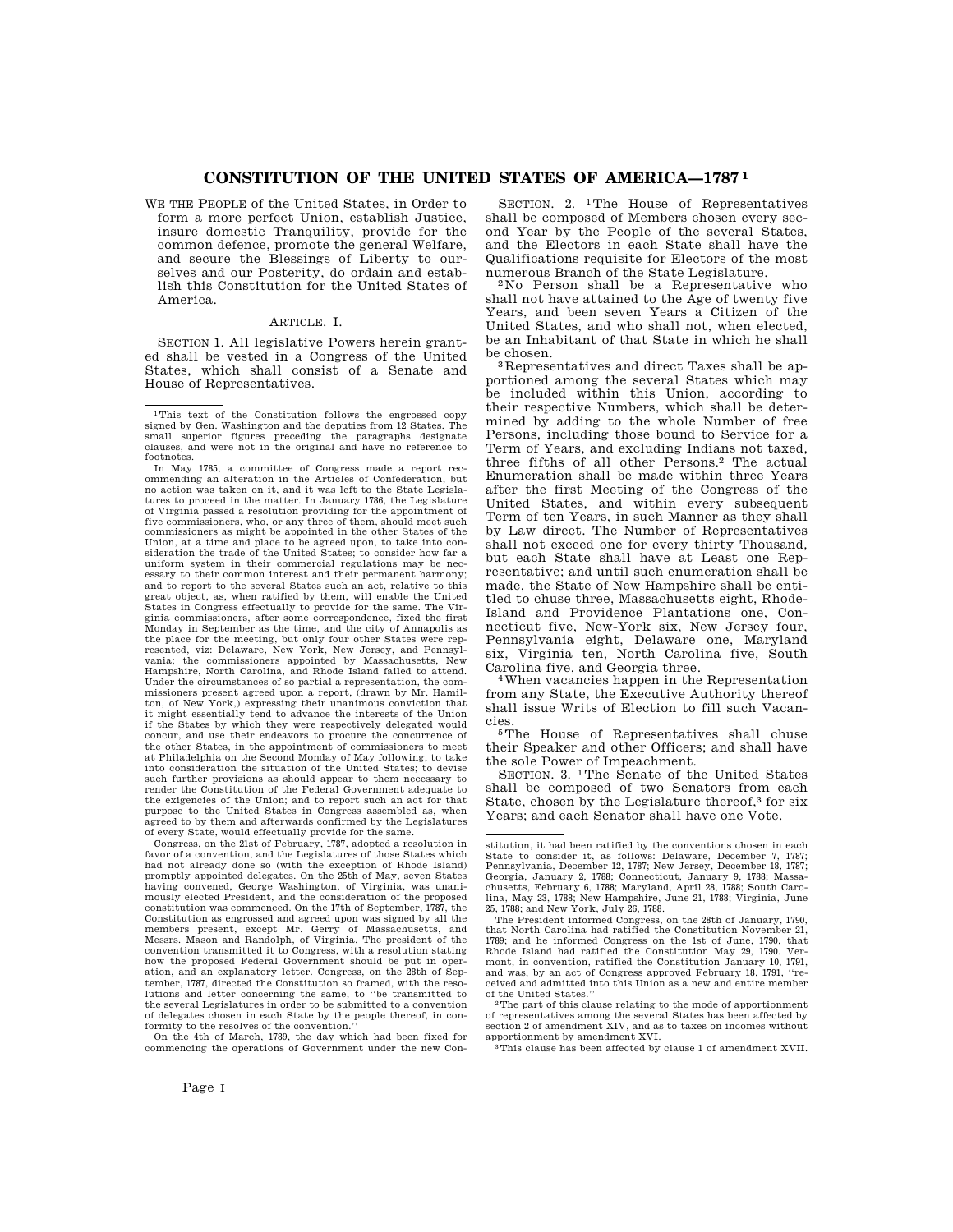# **CONSTITUTION OF THE UNITED STATES OF AMERICA—1787 1**

WE THE PEOPLE of the United States, in Order to form a more perfect Union, establish Justice, insure domestic Tranquility, provide for the common defence, promote the general Welfare, and secure the Blessings of Liberty to ourselves and our Posterity, do ordain and establish this Constitution for the United States of America.

# ARTICLE. I.

SECTION 1. All legislative Powers herein granted shall be vested in a Congress of the United States, which shall consist of a Senate and House of Representatives.

1This text of the Constitution follows the engrossed copy signed by Gen. Washington and the deputies from 12 States. The small superior figures preceding the paragraphs designate clauses, and were not in the original and have no reference to footnotes.

In May 1785, a committee of Congress made a report recommending an alteration in the Articles of Confederation, but no action was taken on it, and it was left to the State Legislatures to proceed in the matter. In January 1786, the Legislature of Virginia passed a resolution providing for the appointment of five commissioners, who, or any three of them, should meet such commissioners as might be appointed in the other States of the Union, at a time and place to be agreed upon, to take into consideration the trade of the United States; to consider how far a uniform system in their commercial regulations may be necessary to their common interest and their permanent harmony; and to report to the several States such an act, relative to this great object, as, when ratified by them, will enable the United States in Congress effectually to provide for the same. The Virginia commissioners, after some correspondence, fixed the first Monday in September as the time, and the city of Annapolis as the place for the meeting, but only four other States were rep-resented, viz: Delaware, New York, New Jersey, and Pennsylvania; the commissioners appointed by Massachusetts, New Hampshire, North Carolina, and Rhode Island failed to attend. Under the circumstances of so partial a representation, the commissioners present agreed upon a report, (drawn by Mr. Hamilton, of New York,) expressing their unanimous conviction that might essentially tend to advance the interests of the Union if the States by which they were respectively delegated would concur, and use their endeavors to procure the concurrence of the other States, in the appointment of commissioners to meet at Philadelphia on the Second Monday of May following, to take into consideration the situation of the United States; to devise such further provisions as should appear to them necessary to render the Constitution of the Federal Government adequate to the exigencies of the Union; and to report such an act for that purpose to the United States in Congress assembled as, when agreed to by them and afterwards confirmed by the Legislatures of every State, would effectually provide for the same.

Congress, on the 21st of February, 1787, adopted a resolution in favor of a convention, and the Legislatures of those States which had not already done so (with the exception of Rhode Island) promptly appointed delegates. On the 25th of May, seven States having convened, George Washington, of Virginia, mously elected President, and the consideration of the proposed constitution was commenced. On the 17th of September, 1787, the Constitution as engrossed and agreed upon was signed by all the members present, except Mr. Gerry of Massachusetts, and Messrs. Mason and Randolph, of Virginia. The president of the convention transmitted it to Congress, with a resolution stating how the proposed Federal Government should be put in operation, and an explanatory letter. Congress, on the 28th of September, 1787, directed the Constitution so framed, with the reso-lutions and letter concerning the same, to ''be transmitted to the several Legislatures in order to be submitted to a convention of delegates chosen in each State by the people thereof, in conformity to the resolves of the convention.

On the 4th of March, 1789, the day which had been fixed for commencing the operations of Government under the new Con-

SECTION. 2. 1The House of Representatives shall be composed of Members chosen every second Year by the People of the several States, and the Electors in each State shall have the Qualifications requisite for Electors of the most numerous Branch of the State Legislature.

2 No Person shall be a Representative who shall not have attained to the Age of twenty five Years, and been seven Years a Citizen of the United States, and who shall not, when elected, be an Inhabitant of that State in which he shall be chosen.

3 Representatives and direct Taxes shall be apportioned among the several States which may be included within this Union, according to their respective Numbers, which shall be determined by adding to the whole Number of free Persons, including those bound to Service for a Term of Years, and excluding Indians not taxed, three fifths of all other Persons.2 The actual Enumeration shall be made within three Years after the first Meeting of the Congress of the United States, and within every subsequent Term of ten Years, in such Manner as they shall by Law direct. The Number of Representatives shall not exceed one for every thirty Thousand, but each State shall have at Least one Representative; and until such enumeration shall be made, the State of New Hampshire shall be entitled to chuse three, Massachusetts eight, Rhode-Island and Providence Plantations one, Connecticut five, New-York six, New Jersey four, Pennsylvania eight, Delaware one, Maryland six, Virginia ten, North Carolina five, South Carolina five, and Georgia three.

4When vacancies happen in the Representation from any State, the Executive Authority thereof shall issue Writs of Election to fill such Vacancies.

5The House of Representatives shall chuse their Speaker and other Officers; and shall have the sole Power of Impeachment.

SECTION. 3. 1The Senate of the United States shall be composed of two Senators from each State, chosen by the Legislature thereof,3 for six Years; and each Senator shall have one Vote.

stitution, it had been ratified by the conventions chosen in each State to consider it, as follows: Delaware, December 7, 1787; Pennsylvania, December 12, 1787; New Jersey, December 18, 1787; Georgia, January 2, 1788; Connecticut, January 9, 1788; Massa-chusetts, February 6, 1788; Maryland, April 28, 1788; South Carolina, May 23, 1788; New Hampshire, June 21, 1788; Virginia, June 25, 1788; and New York, July 26, 1788.

The President informed Congress, on the 28th of January, 1790, that North Carolina had ratified the Constitution November 21, 1789; and he informed Congress on the 1st of June, 1790, that Rhode Island had ratified the Constitution May 29, 1790. Vermont, in convention, ratified the Constitution January 10, 1791, and was, by an act of Congress approved February 18, 1791, ''received and admitted into this Union as a new and entire member of the United States.

<sup>2</sup>The part of this clause relating to the mode of apportionment of representatives among the several States has been affected by section 2 of amendment XIV, and as to taxes on incomes without

apportionment by amendment XVI. 3This clause has been affected by clause 1 of amendment XVII.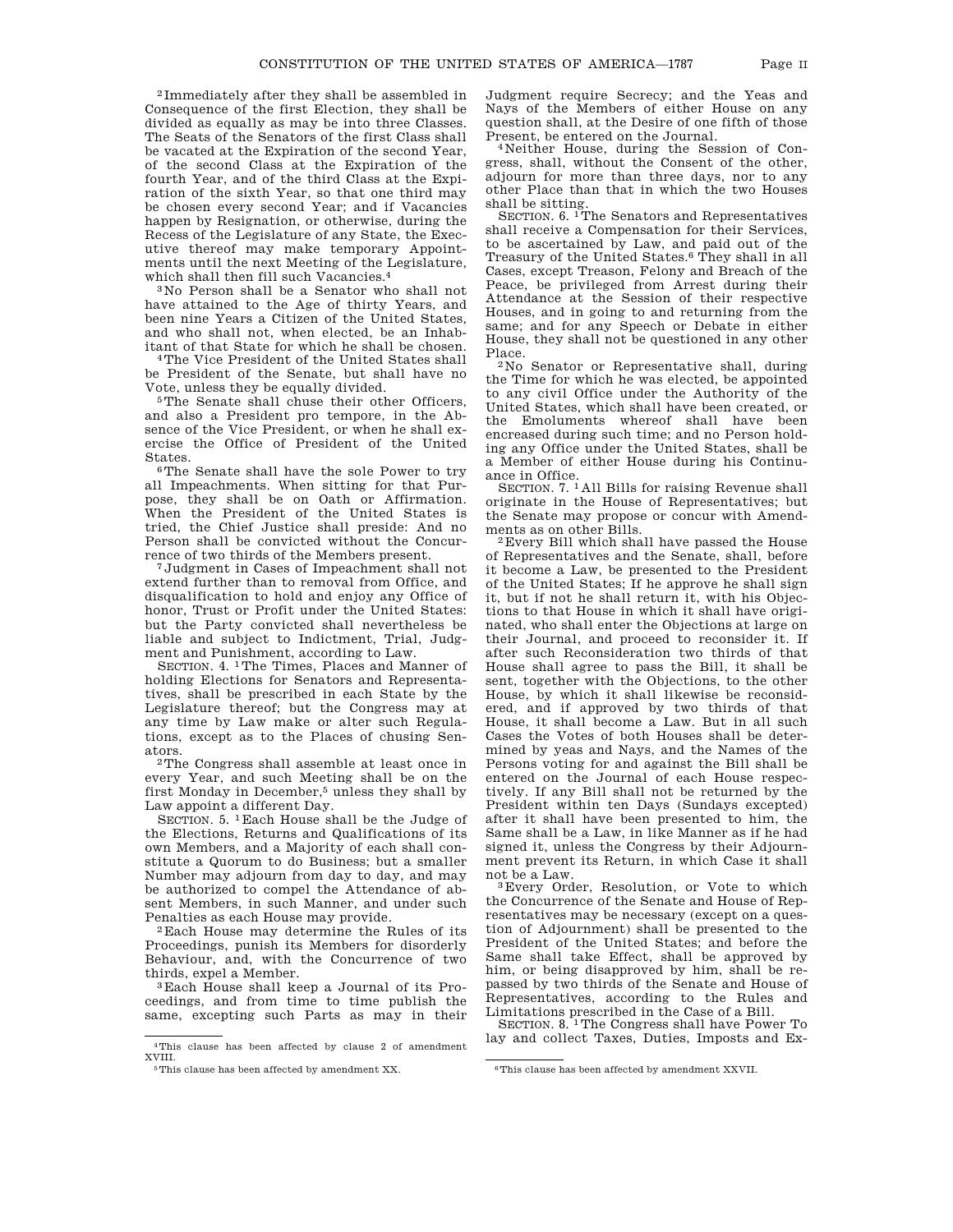2 Immediately after they shall be assembled in Consequence of the first Election, they shall be divided as equally as may be into three Classes. The Seats of the Senators of the first Class shall be vacated at the Expiration of the second Year, of the second Class at the Expiration of the fourth Year, and of the third Class at the Expiration of the sixth Year, so that one third may be chosen every second Year; and if Vacancies happen by Resignation, or otherwise, during the Recess of the Legislature of any State, the Executive thereof may make temporary Appointments until the next Meeting of the Legislature, which shall then fill such Vacancies.4

3 No Person shall be a Senator who shall not have attained to the Age of thirty Years, and been nine Years a Citizen of the United States, and who shall not, when elected, be an Inhabitant of that State for which he shall be chosen.

4The Vice President of the United States shall be President of the Senate, but shall have no Vote, unless they be equally divided.

5The Senate shall chuse their other Officers, and also a President pro tempore, in the Absence of the Vice President, or when he shall exercise the Office of President of the United States.

6The Senate shall have the sole Power to try all Impeachments. When sitting for that Purpose, they shall be on Oath or Affirmation. When the President of the United States is tried, the Chief Justice shall preside: And no Person shall be convicted without the Concurrence of two thirds of the Members present.

7Judgment in Cases of Impeachment shall not extend further than to removal from Office, and disqualification to hold and enjoy any Office of honor, Trust or Profit under the United States: but the Party convicted shall nevertheless be liable and subject to Indictment, Trial, Judgment and Punishment, according to Law.

SECTION. 4. 1The Times, Places and Manner of holding Elections for Senators and Representatives, shall be prescribed in each State by the Legislature thereof; but the Congress may at any time by Law make or alter such Regulations, except as to the Places of chusing Senators.

2The Congress shall assemble at least once in every Year, and such Meeting shall be on the first Monday in December,5 unless they shall by Law appoint a different Day.

SECTION. 5. 1Each House shall be the Judge of the Elections, Returns and Qualifications of its own Members, and a Majority of each shall constitute a Quorum to do Business; but a smaller Number may adjourn from day to day, and may be authorized to compel the Attendance of absent Members, in such Manner, and under such Penalties as each House may provide.

2Each House may determine the Rules of its Proceedings, punish its Members for disorderly Behaviour, and, with the Concurrence of two thirds, expel a Member.

3Each House shall keep a Journal of its Proceedings, and from time to time publish the same, excepting such Parts as may in their Judgment require Secrecy; and the Yeas and Nays of the Members of either House on any question shall, at the Desire of one fifth of those Present, be entered on the Journal.

4 Neither House, during the Session of Congress, shall, without the Consent of the other, adjourn for more than three days, nor to any other Place than that in which the two Houses shall be sitting.

SECTION. 6.<sup>1</sup>The Senators and Representatives shall receive a Compensation for their Services, to be ascertained by Law, and paid out of the Treasury of the United States.6 They shall in all Cases, except Treason, Felony and Breach of the Peace, be privileged from Arrest during their Attendance at the Session of their respective Houses, and in going to and returning from the same; and for any Speech or Debate in either House, they shall not be questioned in any other Place.

2 No Senator or Representative shall, during the Time for which he was elected, be appointed to any civil Office under the Authority of the United States, which shall have been created, or the Emoluments whereof shall have been encreased during such time; and no Person holding any Office under the United States, shall be a Member of either House during his Continuance in Office.

SECTION. 7. <sup>1</sup> All Bills for raising Revenue shall originate in the House of Representatives; but the Senate may propose or concur with Amendments as on other Bills.

2Every Bill which shall have passed the House of Representatives and the Senate, shall, before it become a Law, be presented to the President of the United States; If he approve he shall sign it, but if not he shall return it, with his Objections to that House in which it shall have originated, who shall enter the Objections at large on their Journal, and proceed to reconsider it. If after such Reconsideration two thirds of that House shall agree to pass the Bill, it shall be sent, together with the Objections, to the other House, by which it shall likewise be reconsidered, and if approved by two thirds of that House, it shall become a Law. But in all such Cases the Votes of both Houses shall be determined by yeas and Nays, and the Names of the Persons voting for and against the Bill shall be entered on the Journal of each House respectively. If any Bill shall not be returned by the President within ten Days (Sundays excepted) after it shall have been presented to him, the Same shall be a Law, in like Manner as if he had signed it, unless the Congress by their Adjournment prevent its Return, in which Case it shall not be a Law.

3Every Order, Resolution, or Vote to which the Concurrence of the Senate and House of Representatives may be necessary (except on a question of Adjournment) shall be presented to the President of the United States; and before the Same shall take Effect, shall be approved by him, or being disapproved by him, shall be repassed by two thirds of the Senate and House of Representatives, according to the Rules and

Limitations prescribed in the Case of a Bill. SECTION. 8. 1The Congress shall have Power To lay and collect Taxes, Duties, Imposts and Ex-

<sup>4</sup>This clause has been affected by clause 2 of amendment XVIII.

<sup>&</sup>lt;sup>5</sup>This clause has been affected by amendment XX. <sup>6</sup>This clause has been affected by amendment XXVII.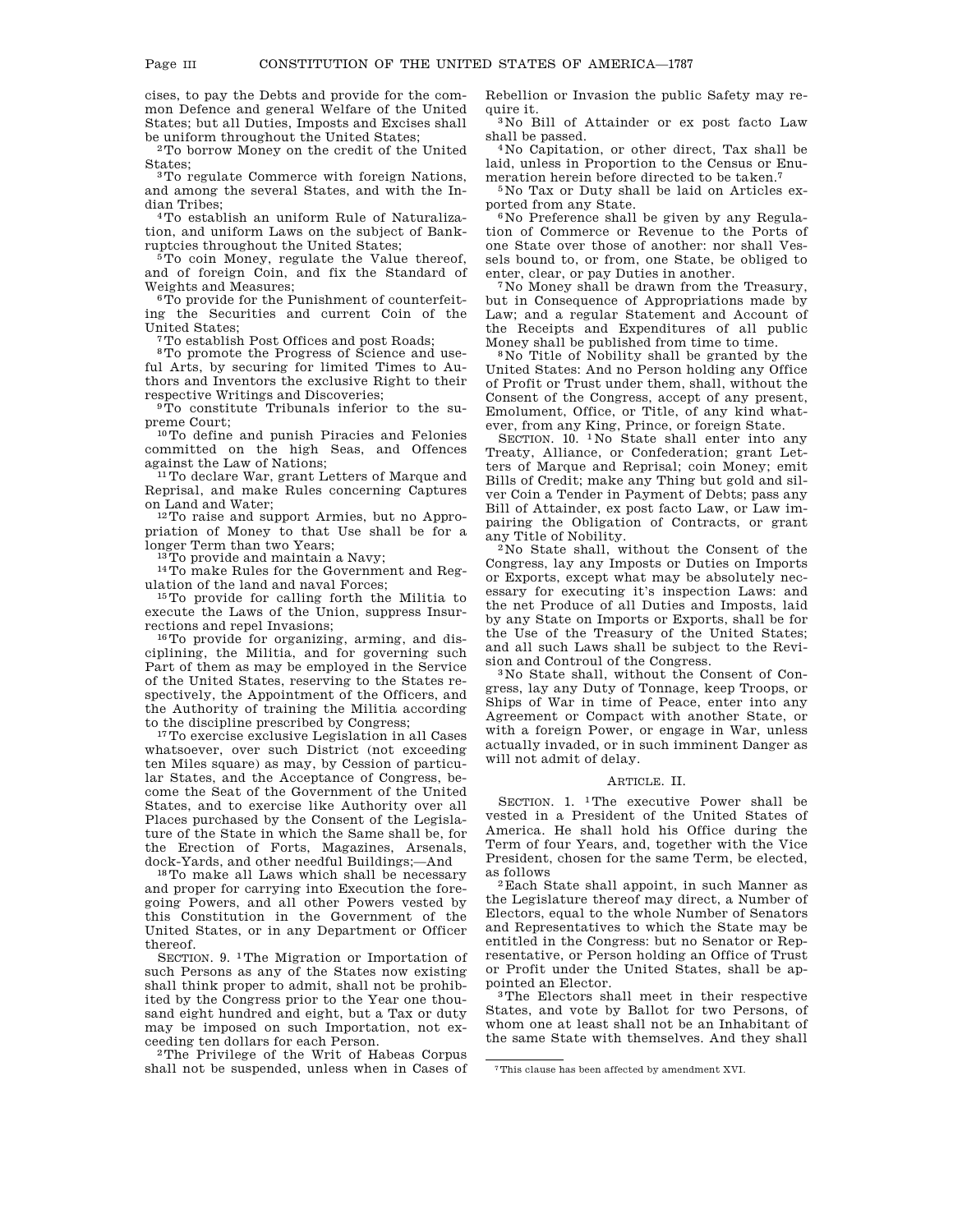cises, to pay the Debts and provide for the common Defence and general Welfare of the United States; but all Duties, Imposts and Excises shall be uniform throughout the United States;

2To borrow Money on the credit of the United States;

3To regulate Commerce with foreign Nations, and among the several States, and with the Indian Tribes;

4To establish an uniform Rule of Naturalization, and uniform Laws on the subject of Bankruptcies throughout the United States;

 $5T<sub>0</sub>$  coin Money, regulate the Value thereof, and of foreign Coin, and fix the Standard of Weights and Measures;

6To provide for the Punishment of counterfeiting the Securities and current Coin of the United States;

7To establish Post Offices and post Roads;

8To promote the Progress of Science and useful Arts, by securing for limited Times to Authors and Inventors the exclusive Right to their respective Writings and Discoveries;

9To constitute Tribunals inferior to the supreme Court;

10To define and punish Piracies and Felonies committed on the high Seas, and Offences against the Law of Nations;

<sup>11</sup>To declare War, grant Letters of Marque and Reprisal, and make Rules concerning Captures on Land and Water;

12To raise and support Armies, but no Appropriation of Money to that Use shall be for a longer Term than two Years;

13To provide and maintain a Navy;

14To make Rules for the Government and Regulation of the land and naval Forces;

15To provide for calling forth the Militia to execute the Laws of the Union, suppress Insurrections and repel Invasions;

16To provide for organizing, arming, and disciplining, the Militia, and for governing such Part of them as may be employed in the Service of the United States, reserving to the States respectively, the Appointment of the Officers, and the Authority of training the Militia according to the discipline prescribed by Congress;

<sup>17</sup>To exercise exclusive Legislation in all Cases whatsoever, over such District (not exceeding ten Miles square) as may, by Cession of particular States, and the Acceptance of Congress, become the Seat of the Government of the United States, and to exercise like Authority over all Places purchased by the Consent of the Legislature of the State in which the Same shall be, for the Erection of Forts, Magazines, Arsenals, dock-Yards, and other needful Buildings;—And

18To make all Laws which shall be necessary and proper for carrying into Execution the foregoing Powers, and all other Powers vested by this Constitution in the Government of the United States, or in any Department or Officer thereof.

SECTION. 9. 1The Migration or Importation of such Persons as any of the States now existing shall think proper to admit, shall not be prohibited by the Congress prior to the Year one thousand eight hundred and eight, but a Tax or duty may be imposed on such Importation, not exceeding ten dollars for each Person.

2The Privilege of the Writ of Habeas Corpus shall not be suspended, unless when in Cases of Rebellion or Invasion the public Safety may require it.

3 No Bill of Attainder or ex post facto Law shall be passed.

4 No Capitation, or other direct, Tax shall be laid, unless in Proportion to the Census or Enumeration herein before directed to be taken.7

5 No Tax or Duty shall be laid on Articles exported from any State.

6 No Preference shall be given by any Regulation of Commerce or Revenue to the Ports of one State over those of another: nor shall Vessels bound to, or from, one State, be obliged to enter, clear, or pay Duties in another.

7 No Money shall be drawn from the Treasury, but in Consequence of Appropriations made by Law; and a regular Statement and Account of the Receipts and Expenditures of all public Money shall be published from time to time.

8 No Title of Nobility shall be granted by the United States: And no Person holding any Office of Profit or Trust under them, shall, without the Consent of the Congress, accept of any present, Emolument, Office, or Title, of any kind whatever, from any King, Prince, or foreign State.

SECTION. 10. 1 No State shall enter into any Treaty, Alliance, or Confederation; grant Letters of Marque and Reprisal; coin Money; emit Bills of Credit; make any Thing but gold and silver Coin a Tender in Payment of Debts; pass any Bill of Attainder, ex post facto Law, or Law impairing the Obligation of Contracts, or grant any Title of Nobility.

2 No State shall, without the Consent of the Congress, lay any Imposts or Duties on Imports or Exports, except what may be absolutely necessary for executing it's inspection Laws: and the net Produce of all Duties and Imposts, laid by any State on Imports or Exports, shall be for the Use of the Treasury of the United States; and all such Laws shall be subject to the Revision and Controul of the Congress.

3 No State shall, without the Consent of Congress, lay any Duty of Tonnage, keep Troops, or Ships of War in time of Peace, enter into any Agreement or Compact with another State, or with a foreign Power, or engage in War, unless actually invaded, or in such imminent Danger as will not admit of delay.

# ARTICLE. II.

SECTION. 1. 1The executive Power shall be vested in a President of the United States of America. He shall hold his Office during the Term of four Years, and, together with the Vice President, chosen for the same Term, be elected, as follows

2Each State shall appoint, in such Manner as the Legislature thereof may direct, a Number of Electors, equal to the whole Number of Senators and Representatives to which the State may be entitled in the Congress: but no Senator or Representative, or Person holding an Office of Trust or Profit under the United States, shall be appointed an Elector.

3The Electors shall meet in their respective States, and vote by Ballot for two Persons, of whom one at least shall not be an Inhabitant of the same State with themselves. And they shall

<sup>7</sup>This clause has been affected by amendment XVI.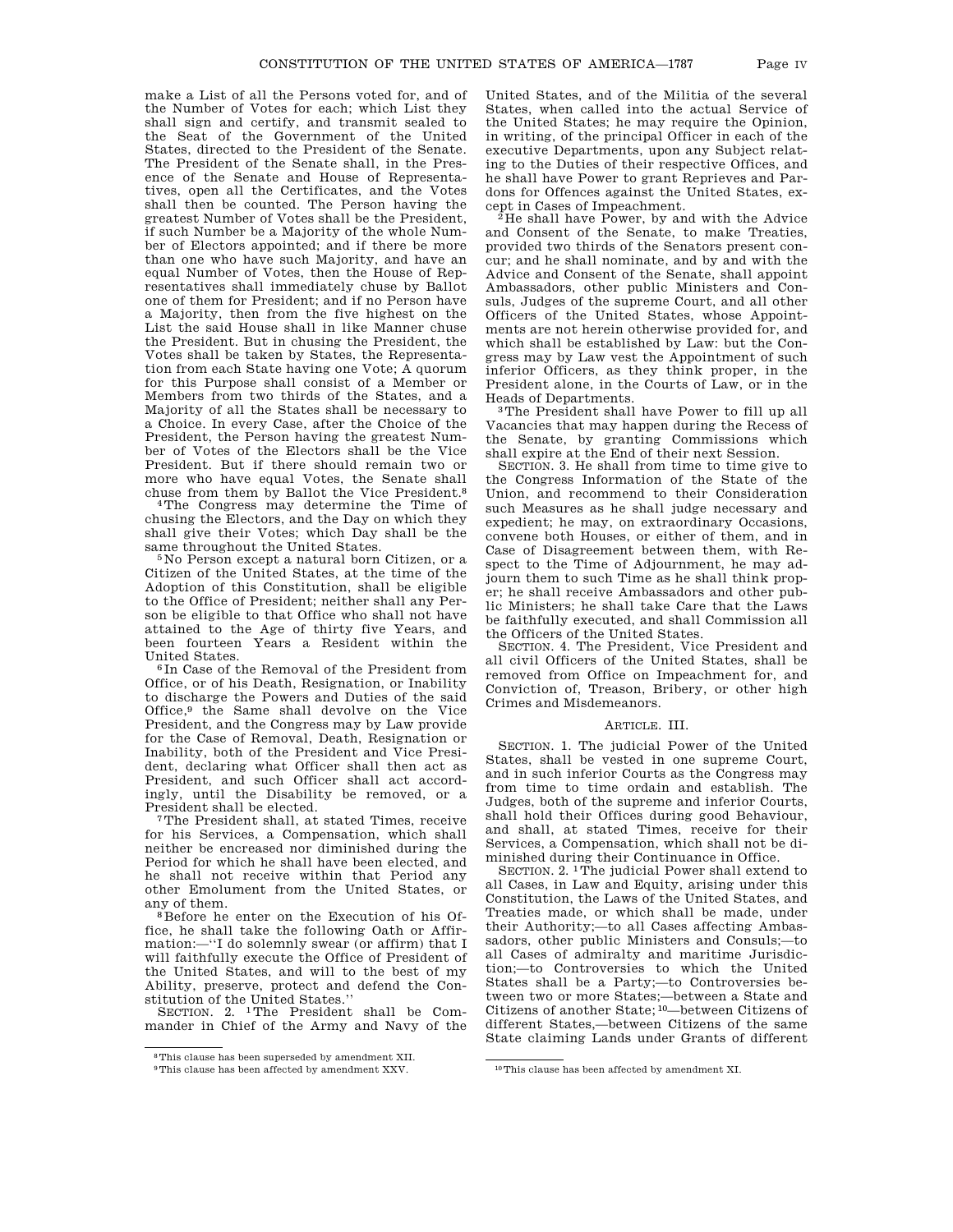make a List of all the Persons voted for, and of the Number of Votes for each; which List they shall sign and certify, and transmit sealed to the Seat of the Government of the United States, directed to the President of the Senate. The President of the Senate shall, in the Presence of the Senate and House of Representatives, open all the Certificates, and the Votes shall then be counted. The Person having the greatest Number of Votes shall be the President, if such Number be a Majority of the whole Number of Electors appointed; and if there be more than one who have such Majority, and have an equal Number of Votes, then the House of Representatives shall immediately chuse by Ballot one of them for President; and if no Person have a Majority, then from the five highest on the List the said House shall in like Manner chuse the President. But in chusing the President, the Votes shall be taken by States, the Representation from each State having one Vote; A quorum for this Purpose shall consist of a Member or Members from two thirds of the States, and a Majority of all the States shall be necessary to a Choice. In every Case, after the Choice of the President, the Person having the greatest Number of Votes of the Electors shall be the Vice President. But if there should remain two or more who have equal Votes, the Senate shall chuse from them by Ballot the Vice President.8

4The Congress may determine the Time of chusing the Electors, and the Day on which they shall give their Votes; which Day shall be the same throughout the United States.

5 No Person except a natural born Citizen, or a Citizen of the United States, at the time of the Adoption of this Constitution, shall be eligible to the Office of President; neither shall any Person be eligible to that Office who shall not have attained to the Age of thirty five Years, and been fourteen Years a Resident within the United States.

6 In Case of the Removal of the President from Office, or of his Death, Resignation, or Inability to discharge the Powers and Duties of the said Office,9 the Same shall devolve on the Vice President, and the Congress may by Law provide for the Case of Removal, Death, Resignation or Inability, both of the President and Vice President, declaring what Officer shall then act as President, and such Officer shall act accordingly, until the Disability be removed, or a President shall be elected.

7The President shall, at stated Times, receive for his Services, a Compensation, which shall neither be encreased nor diminished during the Period for which he shall have been elected, and he shall not receive within that Period any other Emolument from the United States, or any of them.

<sup>8</sup>Before he enter on the Execution of his Office, he shall take the following Oath or Affirmation:—''I do solemnly swear (or affirm) that I will faithfully execute the Office of President of the United States, and will to the best of my Ability, preserve, protect and defend the Constitution of the United States.''

SECTION. 2. 1The President shall be Commander in Chief of the Army and Navy of the United States, and of the Militia of the several States, when called into the actual Service of the United States; he may require the Opinion, in writing, of the principal Officer in each of the executive Departments, upon any Subject relating to the Duties of their respective Offices, and he shall have Power to grant Reprieves and Pardons for Offences against the United States, except in Cases of Impeachment.

 ${}^{2}$ He shall have Power, by and with the Advice and Consent of the Senate, to make Treaties, provided two thirds of the Senators present concur; and he shall nominate, and by and with the Advice and Consent of the Senate, shall appoint Ambassadors, other public Ministers and Consuls, Judges of the supreme Court, and all other Officers of the United States, whose Appointments are not herein otherwise provided for, and which shall be established by Law: but the Congress may by Law vest the Appointment of such inferior Officers, as they think proper, in the President alone, in the Courts of Law, or in the Heads of Departments.

3The President shall have Power to fill up all Vacancies that may happen during the Recess of the Senate, by granting Commissions which shall expire at the End of their next Session.

SECTION. 3. He shall from time to time give to the Congress Information of the State of the Union, and recommend to their Consideration such Measures as he shall judge necessary and expedient; he may, on extraordinary Occasions, convene both Houses, or either of them, and in Case of Disagreement between them, with Respect to the Time of Adjournment, he may adjourn them to such Time as he shall think proper; he shall receive Ambassadors and other public Ministers; he shall take Care that the Laws be faithfully executed, and shall Commission all the Officers of the United States.

SECTION. 4. The President, Vice President and all civil Officers of the United States, shall be removed from Office on Impeachment for, and Conviction of, Treason, Bribery, or other high Crimes and Misdemeanors.

### ARTICLE. III.

SECTION. 1. The judicial Power of the United States, shall be vested in one supreme Court, and in such inferior Courts as the Congress may from time to time ordain and establish. The Judges, both of the supreme and inferior Courts, shall hold their Offices during good Behaviour, and shall, at stated Times, receive for their Services, a Compensation, which shall not be diminished during their Continuance in Office.

SECTION. 2. 1The judicial Power shall extend to all Cases, in Law and Equity, arising under this Constitution, the Laws of the United States, and Treaties made, or which shall be made, under their Authority;—to all Cases affecting Ambassadors, other public Ministers and Consuls;—to all Cases of admiralty and maritime Jurisdiction;—to Controversies to which the United States shall be a Party;—to Controversies between two or more States;—between a State and Citizens of another State; 10—between Citizens of different States,—between Citizens of the same State claiming Lands under Grants of different

<sup>8</sup>This clause has been superseded by amendment XII.

<sup>9</sup>This clause has been affected by amendment XXV. 10This clause has been affected by amendment XI.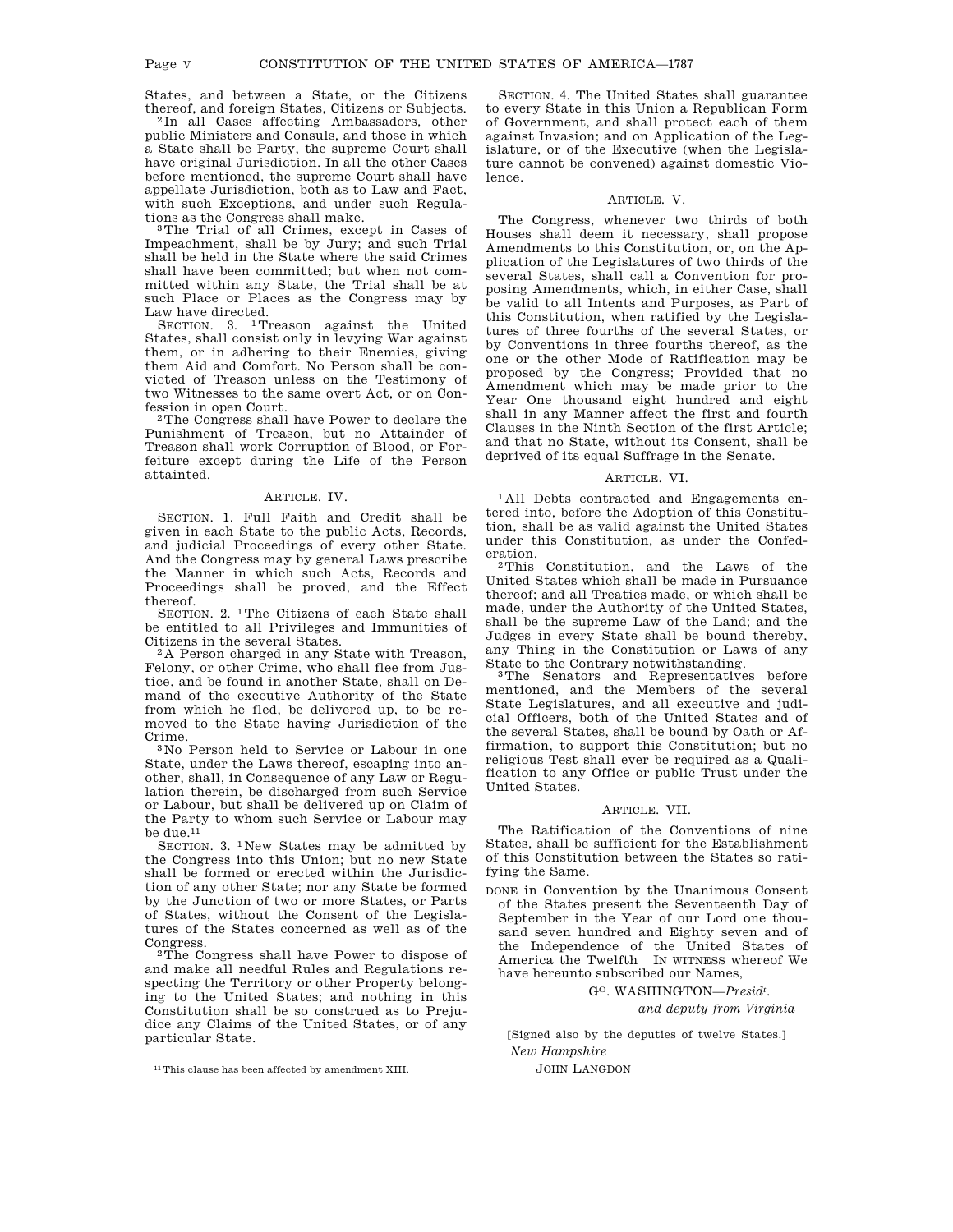States, and between a State, or the Citizens thereof, and foreign States, Citizens or Subjects.

2 In all Cases affecting Ambassadors, other public Ministers and Consuls, and those in which a State shall be Party, the supreme Court shall have original Jurisdiction. In all the other Cases before mentioned, the supreme Court shall have appellate Jurisdiction, both as to Law and Fact, with such Exceptions, and under such Regulations as the Congress shall make.

3The Trial of all Crimes, except in Cases of Impeachment, shall be by Jury; and such Trial shall be held in the State where the said Crimes shall have been committed; but when not committed within any State, the Trial shall be at such Place or Places as the Congress may by Law have directed.

SECTION. 3. 1Treason against the United States, shall consist only in levying War against them, or in adhering to their Enemies, giving them Aid and Comfort. No Person shall be convicted of Treason unless on the Testimony of two Witnesses to the same overt Act, or on Confession in open Court.

2The Congress shall have Power to declare the Punishment of Treason, but no Attainder of Treason shall work Corruption of Blood, or Forfeiture except during the Life of the Person attainted.

## ARTICLE. IV.

SECTION. 1. Full Faith and Credit shall be given in each State to the public Acts, Records, and judicial Proceedings of every other State. And the Congress may by general Laws prescribe the Manner in which such Acts, Records and Proceedings shall be proved, and the Effect thereof.

SECTION. 2. 1The Citizens of each State shall be entitled to all Privileges and Immunities of Citizens in the several States.

2 A Person charged in any State with Treason, Felony, or other Crime, who shall flee from Justice, and be found in another State, shall on Demand of the executive Authority of the State from which he fled, be delivered up, to be removed to the State having Jurisdiction of the Crime.

3 No Person held to Service or Labour in one State, under the Laws thereof, escaping into another, shall, in Consequence of any Law or Regulation therein, be discharged from such Service or Labour, but shall be delivered up on Claim of the Party to whom such Service or Labour may be due.11

SECTION. 3. 1 New States may be admitted by the Congress into this Union; but no new State shall be formed or erected within the Jurisdiction of any other State; nor any State be formed by the Junction of two or more States, or Parts of States, without the Consent of the Legislatures of the States concerned as well as of the Congress.

2The Congress shall have Power to dispose of and make all needful Rules and Regulations respecting the Territory or other Property belonging to the United States; and nothing in this Constitution shall be so construed as to Prejudice any Claims of the United States, or of any particular State.

SECTION. 4. The United States shall guarantee to every State in this Union a Republican Form of Government, and shall protect each of them against Invasion; and on Application of the Legislature, or of the Executive (when the Legislature cannot be convened) against domestic Violence.

### ARTICLE. V.

The Congress, whenever two thirds of both Houses shall deem it necessary, shall propose Amendments to this Constitution, or, on the Application of the Legislatures of two thirds of the several States, shall call a Convention for proposing Amendments, which, in either Case, shall be valid to all Intents and Purposes, as Part of this Constitution, when ratified by the Legislatures of three fourths of the several States, or by Conventions in three fourths thereof, as the one or the other Mode of Ratification may be proposed by the Congress; Provided that no Amendment which may be made prior to the Year One thousand eight hundred and eight shall in any Manner affect the first and fourth Clauses in the Ninth Section of the first Article; and that no State, without its Consent, shall be deprived of its equal Suffrage in the Senate.

#### ARTICLE. VI.

1 All Debts contracted and Engagements entered into, before the Adoption of this Constitution, shall be as valid against the United States under this Constitution, as under the Confederation.

2This Constitution, and the Laws of the United States which shall be made in Pursuance thereof; and all Treaties made, or which shall be made, under the Authority of the United States, shall be the supreme Law of the Land; and the Judges in every State shall be bound thereby, any Thing in the Constitution or Laws of any State to the Contrary notwithstanding.

3The Senators and Representatives before mentioned, and the Members of the several State Legislatures, and all executive and judicial Officers, both of the United States and of the several States, shall be bound by Oath or Affirmation, to support this Constitution; but no religious Test shall ever be required as a Qualification to any Office or public Trust under the United States.

## ARTICLE. VII.

The Ratification of the Conventions of nine States, shall be sufficient for the Establishment of this Constitution between the States so ratifying the Same.

DONE in Convention by the Unanimous Consent of the States present the Seventeenth Day of September in the Year of our Lord one thousand seven hundred and Eighty seven and of the Independence of the United States of America the Twelfth IN WITNESS whereof We have hereunto subscribed our Names,

GO. WASHINGTON—*Presidt* .

*and deputy from Virginia*

[Signed also by the deputies of twelve States.] *New Hampshire*

JOHN LANGDON

<sup>11</sup>This clause has been affected by amendment XIII.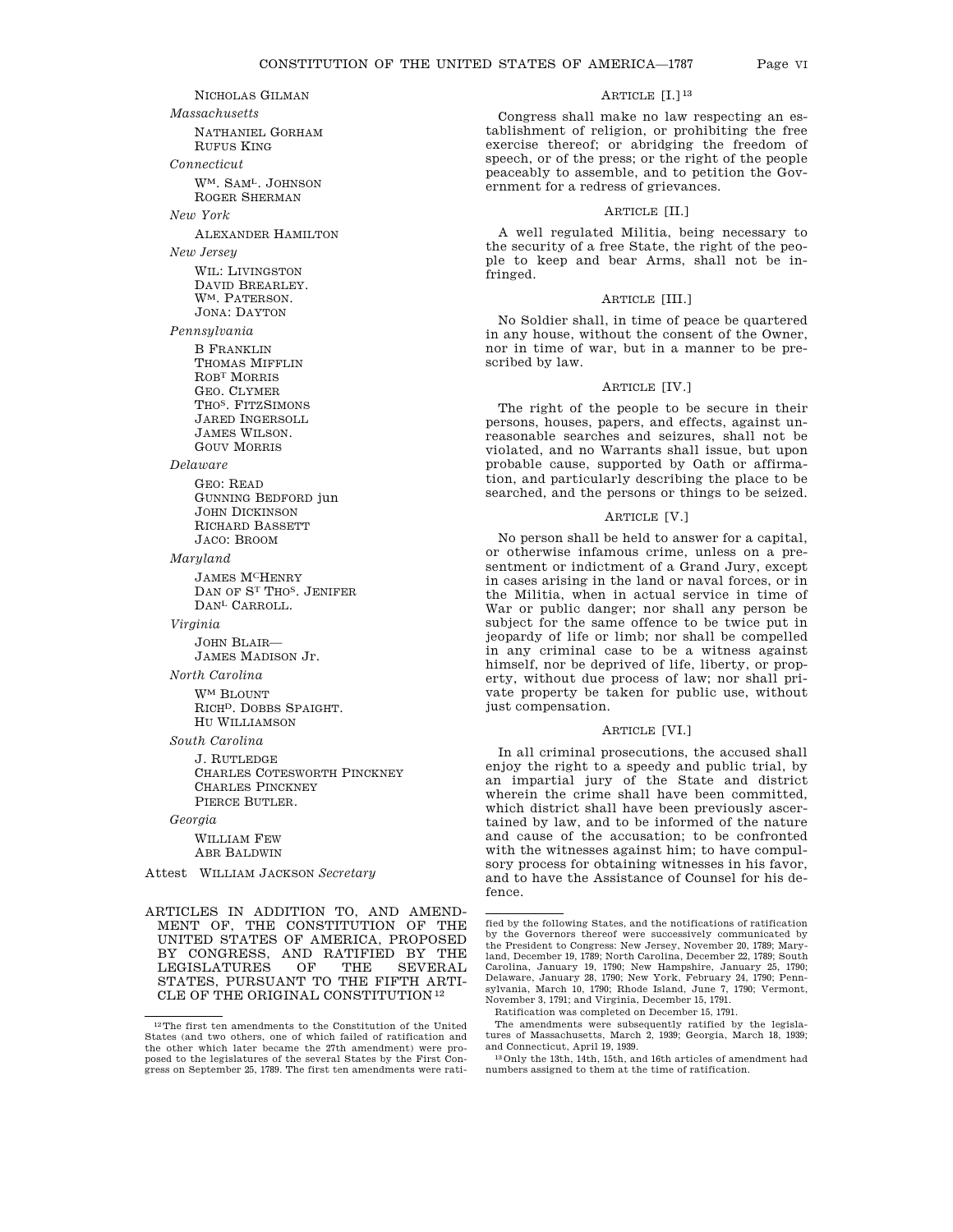NICHOLAS GILMAN *Massachusetts* NATHANIEL GORHAM RUFUS KING *Connecticut* WM. SAML. JOHNSON ROGER SHERMAN *New York* ALEXANDER HAMILTON *New Jersey* WIL: LIVINGSTON DAVID BREARLEY. WM. PATERSON. JONA: DAYTON *Pennsylvania* B FRANKLIN THOMAS MIFFLIN ROBT MORRIS GEO. CLYMER THO<sup>S</sup>. FITZSIMONS JARED INGERSOLL JAMES WILSON. GOUV MORRIS *Delaware* GEO: READ GUNNING BEDFORD jun JOHN DICKINSON RICHARD BASSETT JACO: BROOM *Maryland* JAMES MCHENRY DAN OF ST THOS. JENIFER DANL CARROLL. *Virginia* JOHN BLAIR— JAMES MADISON Jr. *North Carolina* WM BLOUNT RICHD. DOBBS SPAIGHT. HU WILLIAMSON *South Carolina* J. RUTLEDGE

CHARLES COTESWORTH PINCKNEY CHARLES PINCKNEY PIERCE BUTLER.

*Georgia*

WILLIAM FEW ABR BALDWIN

Attest WILLIAM JACKSON *Secretary*

ARTICLES IN ADDITION TO, AND AMEND-MENT OF, THE CONSTITUTION OF THE UNITED STATES OF AMERICA, PROPOSED BY CONGRESS, AND RATIFIED BY THE LEGISLATURES STATES, PURSUANT TO THE FIFTH ARTI-CLE OF THE ORIGINAL CONSTITUTION 12

# ARTICLE [I.]<sup>13</sup>

Congress shall make no law respecting an establishment of religion, or prohibiting the free exercise thereof; or abridging the freedom of speech, or of the press; or the right of the people peaceably to assemble, and to petition the Government for a redress of grievances.

# ARTICLE [II.]

A well regulated Militia, being necessary to the security of a free State, the right of the people to keep and bear Arms, shall not be infringed.

# ARTICLE [III.]

No Soldier shall, in time of peace be quartered in any house, without the consent of the Owner, nor in time of war, but in a manner to be prescribed by law.

# ARTICLE [IV.]

The right of the people to be secure in their persons, houses, papers, and effects, against unreasonable searches and seizures, shall not be violated, and no Warrants shall issue, but upon probable cause, supported by Oath or affirmation, and particularly describing the place to be searched, and the persons or things to be seized.

# ARTICLE [V.]

No person shall be held to answer for a capital, or otherwise infamous crime, unless on a presentment or indictment of a Grand Jury, except in cases arising in the land or naval forces, or in the Militia, when in actual service in time of War or public danger; nor shall any person be subject for the same offence to be twice put in jeopardy of life or limb; nor shall be compelled in any criminal case to be a witness against himself, nor be deprived of life, liberty, or property, without due process of law; nor shall private property be taken for public use, without just compensation.

# ARTICLE [VI.]

In all criminal prosecutions, the accused shall enjoy the right to a speedy and public trial, by an impartial jury of the State and district wherein the crime shall have been committed, which district shall have been previously ascertained by law, and to be informed of the nature and cause of the accusation; to be confronted with the witnesses against him; to have compulsory process for obtaining witnesses in his favor, and to have the Assistance of Counsel for his defence.

 $\rm ^{12}The$  first ten amendments to the Constitution of the United States (and two others, one of which failed of ratification and the other which later became the 27th amendment) were proposed to the legislatures of the several States by the First Congress on September 25, 1789. The first ten amendments were rati-

fied by the following States, and the notifications of ratification by the Governors thereof were successively communicated by the President to Congress: New Jersey, November 20, 1789; Maryland, December 19, 1789; North Carolina, December 22, 1789; South Carolina, January 19, 1790; New Hampshire, January 25, 1790; Delaware, January 28, 1790; New York, February 24, 1790; Pennsylvania, March 10, 1790; Rhode Island, June 7, 1790; Vermont, November 3, 1791; and Virginia, December 15, 1791.

Ratification was completed on December 15, 1791.

The amendments were subsequently ratified by the legislatures of Massachusetts, March 2, 1939; Georgia, March 18, 1939; and Connecticut, April 19, 1939.

<sup>13</sup>Only the 13th, 14th, 15th, and 16th articles of amendment had numbers assigned to them at the time of ratification.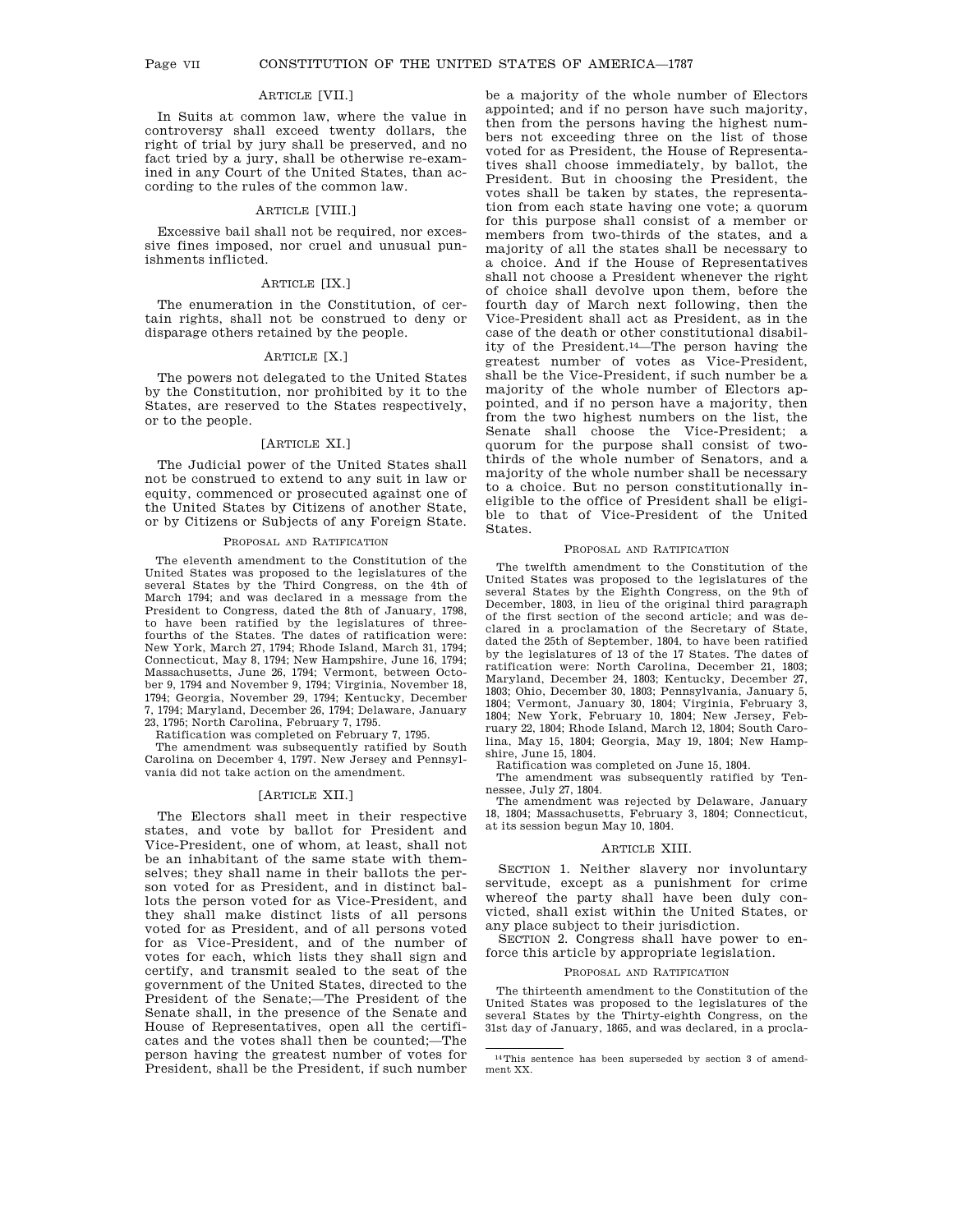# ARTICLE [VII.]

In Suits at common law, where the value in controversy shall exceed twenty dollars, the right of trial by jury shall be preserved, and no fact tried by a jury, shall be otherwise re-examined in any Court of the United States, than according to the rules of the common law.

### ARTICLE [VIII.]

Excessive bail shall not be required, nor excessive fines imposed, nor cruel and unusual punishments inflicted.

# ARTICLE [IX.]

The enumeration in the Constitution, of certain rights, shall not be construed to deny or disparage others retained by the people.

# ARTICLE [X.]

The powers not delegated to the United States by the Constitution, nor prohibited by it to the States, are reserved to the States respectively, or to the people.

# [ARTICLE XI.]

The Judicial power of the United States shall not be construed to extend to any suit in law or equity, commenced or prosecuted against one of the United States by Citizens of another State, or by Citizens or Subjects of any Foreign State.

#### PROPOSAL AND RATIFICATION

The eleventh amendment to the Constitution of the United States was proposed to the legislatures of the several States by the Third Congress, on the 4th of March 1794; and was declared in a message from the President to Congress, dated the 8th of January, 1798, to have been ratified by the legislatures of threefourths of the States. The dates of ratification were: New York, March 27, 1794; Rhode Island, March 31, 1794; Connecticut, May 8, 1794; New Hampshire, June 16, 1794; Massachusetts, June 26, 1794; Vermont, between October 9, 1794 and November 9, 1794; Virginia, November 18, 1794; Georgia, November 29, 1794; Kentucky, December 7, 1794; Maryland, December 26, 1794; Delaware, January 23, 1795; North Carolina, February 7, 1795.

Ratification was completed on February 7, 1795.

The amendment was subsequently ratified by South Carolina on December 4, 1797. New Jersey and Pennsylvania did not take action on the amendment.

### [ARTICLE XII.]

The Electors shall meet in their respective states, and vote by ballot for President and Vice-President, one of whom, at least, shall not be an inhabitant of the same state with themselves; they shall name in their ballots the person voted for as President, and in distinct ballots the person voted for as Vice-President, and they shall make distinct lists of all persons voted for as President, and of all persons voted for as Vice-President, and of the number of votes for each, which lists they shall sign and certify, and transmit sealed to the seat of the government of the United States, directed to the President of the Senate;—The President of the Senate shall, in the presence of the Senate and House of Representatives, open all the certificates and the votes shall then be counted;—The person having the greatest number of votes for President, shall be the President, if such number be a majority of the whole number of Electors appointed; and if no person have such majority, then from the persons having the highest numbers not exceeding three on the list of those voted for as President, the House of Representatives shall choose immediately, by ballot, the President. But in choosing the President, the votes shall be taken by states, the representation from each state having one vote; a quorum for this purpose shall consist of a member or members from two-thirds of the states, and a majority of all the states shall be necessary to a choice. And if the House of Representatives shall not choose a President whenever the right of choice shall devolve upon them, before the fourth day of March next following, then the Vice-President shall act as President, as in the case of the death or other constitutional disability of the President.14—The person having the greatest number of votes as Vice-President, shall be the Vice-President, if such number be a majority of the whole number of Electors appointed, and if no person have a majority, then from the two highest numbers on the list, the Senate shall choose the Vice-President; a quorum for the purpose shall consist of twothirds of the whole number of Senators, and a majority of the whole number shall be necessary to a choice. But no person constitutionally ineligible to the office of President shall be eligible to that of Vice-President of the United States.

### PROPOSAL AND RATIFICATION

The twelfth amendment to the Constitution of the United States was proposed to the legislatures of the several States by the Eighth Congress, on the 9th of December, 1803, in lieu of the original third paragraph of the first section of the second article; and was declared in a proclamation of the Secretary of State, dated the 25th of September, 1804, to have been ratified by the legislatures of 13 of the 17 States. The dates of ratification were: North Carolina, December 21, 1803; Maryland, December 24, 1803; Kentucky, December 27, 1803; Ohio, December 30, 1803; Pennsylvania, January 5, 1804; Vermont, January 30, 1804; Virginia, February 3, 1804; New York, February 10, 1804; New Jersey, February 22, 1804; Rhode Island, March 12, 1804; South Carolina, May 15, 1804; Georgia, May 19, 1804; New Hampshire, June 15, 1804.

Ratification was completed on June 15, 1804.

The amendment was subsequently ratified by Tennessee, July 27, 1804.

The amendment was rejected by Delaware, January 18, 1804; Massachusetts, February 3, 1804; Connecticut, at its session begun May 10, 1804.

### ARTICLE XIII.

SECTION 1. Neither slavery nor involuntary servitude, except as a punishment for crime whereof the party shall have been duly convicted, shall exist within the United States, or any place subject to their jurisdiction.

SECTION 2. Congress shall have power to enforce this article by appropriate legislation.

# PROPOSAL AND RATIFICATION

The thirteenth amendment to the Constitution of the United States was proposed to the legislatures of the several States by the Thirty-eighth Congress, on the 31st day of January, 1865, and was declared, in a procla-

<sup>14</sup>This sentence has been superseded by section 3 of amendment XX.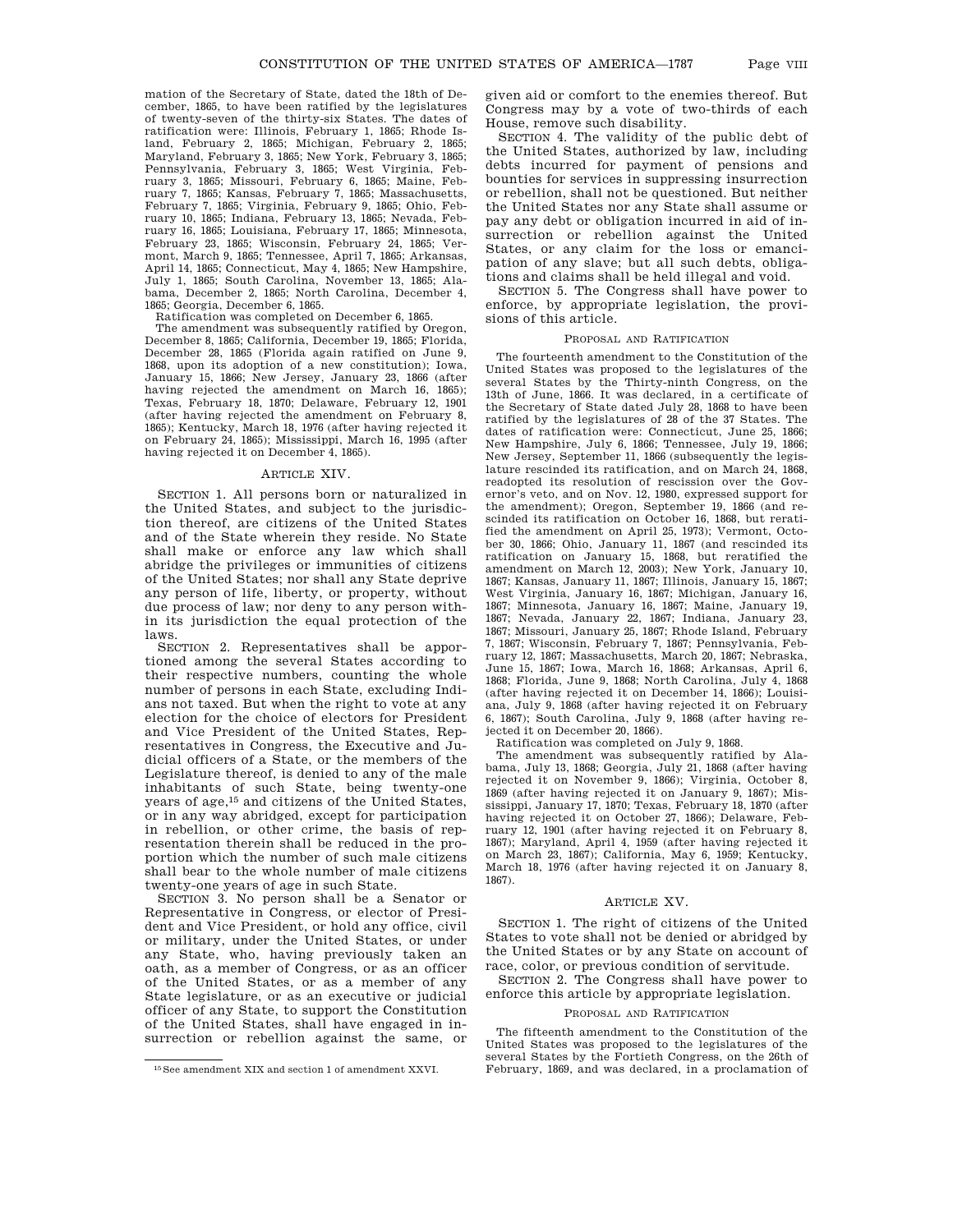mation of the Secretary of State, dated the 18th of December, 1865, to have been ratified by the legislatures of twenty-seven of the thirty-six States. The dates of ratification were: Illinois, February 1, 1865; Rhode Island, February 2, 1865; Michigan, February 2, 1865; Maryland, February 3, 1865; New York, February 3, 1865; Pennsylvania, February 3, 1865; West Virginia, February 3, 1865; Missouri, February 6, 1865; Maine, February 7, 1865; Kansas, February 7, 1865; Massachusetts, February 7, 1865; Virginia, February 9, 1865; Ohio, February 10, 1865; Indiana, February 13, 1865; Nevada, February 16, 1865; Louisiana, February 17, 1865; Minnesota, February 23, 1865; Wisconsin, February 24, 1865; Vermont, March 9, 1865; Tennessee, April 7, 1865; Arkansas, April 14, 1865; Connecticut, May 4, 1865; New Hampshire, July 1, 1865; South Carolina, November 13, 1865; Alabama, December 2, 1865; North Carolina, December 4, 1865; Georgia, December 6, 1865.

Ratification was completed on December 6, 1865.

The amendment was subsequently ratified by Oregon, December 8, 1865; California, December 19, 1865; Florida, December 28, 1865 (Florida again ratified on June 9, 1868, upon its adoption of a new constitution); Iowa, January 15, 1866; New Jersey, January 23, 1866 (after having rejected the amendment on March 16, 1865); Texas, February 18, 1870; Delaware, February 12, 1901 (after having rejected the amendment on February 8, 1865); Kentucky, March 18, 1976 (after having rejected it on February 24, 1865); Mississippi, March 16, 1995 (after having rejected it on December 4, 1865).

#### ARTICLE XIV.

SECTION 1. All persons born or naturalized in the United States, and subject to the jurisdiction thereof, are citizens of the United States and of the State wherein they reside. No State shall make or enforce any law which shall abridge the privileges or immunities of citizens of the United States; nor shall any State deprive any person of life, liberty, or property, without due process of law; nor deny to any person within its jurisdiction the equal protection of the laws.

SECTION 2. Representatives shall be apportioned among the several States according to their respective numbers, counting the whole number of persons in each State, excluding Indians not taxed. But when the right to vote at any election for the choice of electors for President and Vice President of the United States, Representatives in Congress, the Executive and Judicial officers of a State, or the members of the Legislature thereof, is denied to any of the male inhabitants of such State, being twenty-one years of age,15 and citizens of the United States, or in any way abridged, except for participation in rebellion, or other crime, the basis of representation therein shall be reduced in the proportion which the number of such male citizens shall bear to the whole number of male citizens twenty-one years of age in such State.

SECTION 3. No person shall be a Senator or Representative in Congress, or elector of President and Vice President, or hold any office, civil or military, under the United States, or under any State, who, having previously taken an oath, as a member of Congress, or as an officer of the United States, or as a member of any State legislature, or as an executive or judicial officer of any State, to support the Constitution of the United States, shall have engaged in insurrection or rebellion against the same, or

given aid or comfort to the enemies thereof. But Congress may by a vote of two-thirds of each House, remove such disability.

SECTION 4. The validity of the public debt of the United States, authorized by law, including debts incurred for payment of pensions and bounties for services in suppressing insurrection or rebellion, shall not be questioned. But neither the United States nor any State shall assume or pay any debt or obligation incurred in aid of insurrection or rebellion against the United States, or any claim for the loss or emancipation of any slave; but all such debts, obligations and claims shall be held illegal and void.

SECTION 5. The Congress shall have power to enforce, by appropriate legislation, the provisions of this article.

### PROPOSAL AND RATIFICATION

The fourteenth amendment to the Constitution of the United States was proposed to the legislatures of the several States by the Thirty-ninth Congress, on the 13th of June, 1866. It was declared, in a certificate of the Secretary of State dated July 28, 1868 to have been ratified by the legislatures of 28 of the 37 States. The dates of ratification were: Connecticut, June 25, 1866; New Hampshire, July 6, 1866; Tennessee, July 19, 1866; New Jersey, September 11, 1866 (subsequently the legislature rescinded its ratification, and on March 24, 1868, readopted its resolution of rescission over the Governor's veto, and on Nov. 12, 1980, expressed support for the amendment); Oregon, September 19, 1866 (and rescinded its ratification on October 16, 1868, but reratified the amendment on April 25, 1973); Vermont, October 30, 1866; Ohio, January 11, 1867 (and rescinded its ratification on January 15, 1868, but reratified the amendment on March 12, 2003); New York, January 10, 1867; Kansas, January 11, 1867; Illinois, January 15, 1867; West Virginia, January 16, 1867; Michigan, January 16, 1867; Minnesota, January 16, 1867; Maine, January 19, 1867; Nevada, January 22, 1867; Indiana, January 23, 1867; Missouri, January 25, 1867; Rhode Island, February 7, 1867; Wisconsin, February 7, 1867; Pennsylvania, February 12, 1867; Massachusetts, March 20, 1867; Nebraska, June 15, 1867; Iowa, March 16, 1868; Arkansas, April 6, 1868; Florida, June 9, 1868; North Carolina, July 4, 1868 (after having rejected it on December 14, 1866); Louisiana, July 9, 1868 (after having rejected it on February 6, 1867); South Carolina, July 9, 1868 (after having rejected it on December 20, 1866).

Ratification was completed on July 9, 1868.

The amendment was subsequently ratified by Alabama, July 13, 1868; Georgia, July 21, 1868 (after having rejected it on November 9, 1866); Virginia, October 8, 1869 (after having rejected it on January 9, 1867); Mississippi, January 17, 1870; Texas, February 18, 1870 (after having rejected it on October 27, 1866); Delaware, February 12, 1901 (after having rejected it on February 8, 1867); Maryland, April 4, 1959 (after having rejected it on March 23, 1867); California, May 6, 1959; Kentucky, March 18, 1976 (after having rejected it on January 8, 1867).

#### ARTICLE XV.

SECTION 1. The right of citizens of the United States to vote shall not be denied or abridged by the United States or by any State on account of race, color, or previous condition of servitude.

SECTION 2. The Congress shall have power to enforce this article by appropriate legislation.

#### PROPOSAL AND RATIFICATION

The fifteenth amendment to the Constitution of the United States was proposed to the legislatures of the several States by the Fortieth Congress, on the 26th of February, 1869, and was declared, in a proclamation of

<sup>15</sup>See amendment XIX and section 1 of amendment XXVI.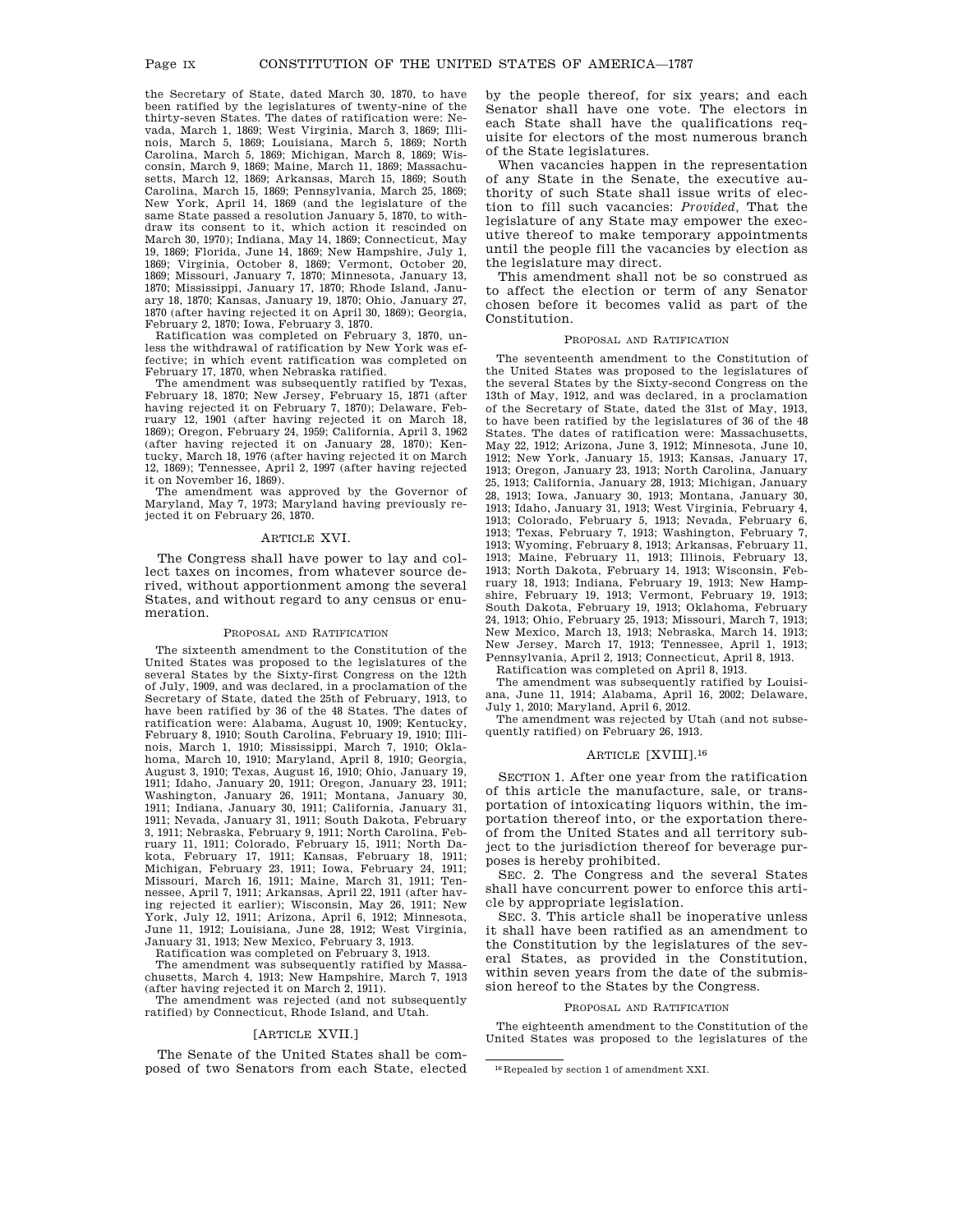the Secretary of State, dated March 30, 1870, to have been ratified by the legislatures of twenty-nine of the thirty-seven States. The dates of ratification were: Nevada, March 1, 1869; West Virginia, March 3, 1869; Illinois, March 5, 1869; Louisiana, March 5, 1869; North Carolina, March 5, 1869; Michigan, March 8, 1869; Wisconsin, March 9, 1869; Maine, March 11, 1869; Massachusetts, March 12, 1869; Arkansas, March 15, 1869; South Carolina, March 15, 1869; Pennsylvania, March 25, 1869; New York, April 14, 1869 (and the legislature of the same State passed a resolution January 5, 1870, to withdraw its consent to it, which action it rescinded on March 30, 1970); Indiana, May 14, 1869; Connecticut, May 19, 1869; Florida, June 14, 1869; New Hampshire, July 1, 1869; Virginia, October 8, 1869; Vermont, October 20, 1869; Missouri, January 7, 1870; Minnesota, January 13, 1870; Mississippi, January 17, 1870; Rhode Island, January 18, 1870; Kansas, January 19, 1870; Ohio, January 27, 1870 (after having rejected it on April 30, 1869); Georgia, February 2, 1870; Iowa, February 3, 1870.

Ratification was completed on February 3, 1870, unless the withdrawal of ratification by New York was effective; in which event ratification was completed on February 17, 1870, when Nebraska ratified.

The amendment was subsequently ratified by Texas, February 18, 1870; New Jersey, February 15, 1871 (after having rejected it on February 7, 1870); Delaware, February 12, 1901 (after having rejected it on March 18, 1869); Oregon, February 24, 1959; California, April 3, 1962 (after having rejected it on January 28, 1870); Kentucky, March 18, 1976 (after having rejected it on March 12, 1869); Tennessee, April 2, 1997 (after having rejected it on November 16, 1869).

The amendment was approved by the Governor of Maryland, May 7, 1973; Maryland having previously rejected it on February 26, 1870.

### ARTICLE XVI.

The Congress shall have power to lay and collect taxes on incomes, from whatever source derived, without apportionment among the several States, and without regard to any census or enumeration.

### PROPOSAL AND RATIFICATION

The sixteenth amendment to the Constitution of the United States was proposed to the legislatures of the several States by the Sixty-first Congress on the 12th of July, 1909, and was declared, in a proclamation of the Secretary of State, dated the 25th of February, 1913, to have been ratified by 36 of the 48 States. The dates of ratification were: Alabama, August 10, 1909; Kentucky, February 8, 1910; South Carolina, February 19, 1910; Illi-nois, March 1, 1910; Mississippi, March 7, 1910; Okla-homa, March 10, 1910; Maryland, April 8, 1910; Georgia, August 3, 1910; Texas, August 16, 1910; Ohio, January 19, 1911; Idaho, January 20, 1911; Oregon, January 23, 1911; Washington, January 26, 1911; Montana, January 30, 1911; Indiana, January 30, 1911; California, January 31, 1911; Nevada, January 31, 1911; South Dakota, February 3, 1911; Nebraska, February 9, 1911; North Carolina, February 11, 1911; Colorado, February 15, 1911; North Dakota, February 17, 1911; Kansas, February 18, 1911; Michigan, February 23, 1911; Iowa, February 24, 1911; Missouri, March 16, 1911; Maine, March 31, 1911; Tennessee, April 7, 1911; Arkansas, April 22, 1911 (after having rejected it earlier); Wisconsin, May 26, 1911; New York, July 12, 1911; Arizona, April 6, 1912; Minnesota, June 11, 1912; Louisiana, June 28, 1912; West Virginia,

January 31, 1913; New Mexico, February 3, 1913. Ratification was completed on February 3, 1913.

The amendment was subsequently ratified by Massachusetts, March 4, 1913; New Hampshire, March 7, 1913 (after having rejected it on March 2, 1911).

The amendment was rejected (and not subsequently ratified) by Connecticut, Rhode Island, and Utah.

# [ARTICLE XVII.]

The Senate of the United States shall be composed of two Senators from each State, elected by the people thereof, for six years; and each Senator shall have one vote. The electors in each State shall have the qualifications requisite for electors of the most numerous branch of the State legislatures.

When vacancies happen in the representation of any State in the Senate, the executive authority of such State shall issue writs of election to fill such vacancies: *Provided,* That the legislature of any State may empower the executive thereof to make temporary appointments until the people fill the vacancies by election as the legislature may direct.

This amendment shall not be so construed as to affect the election or term of any Senator chosen before it becomes valid as part of the Constitution.

## PROPOSAL AND RATIFICATION

The seventeenth amendment to the Constitution of the United States was proposed to the legislatures of the several States by the Sixty-second Congress on the 13th of May, 1912, and was declared, in a proclamation of the Secretary of State, dated the 31st of May, 1913, to have been ratified by the legislatures of 36 of the 48 States. The dates of ratification were: Massachusetts, May 22, 1912; Arizona, June 3, 1912; Minnesota, June 10, 1912; New York, January 15, 1913; Kansas, January 17, 1913; Oregon, January 23, 1913; North Carolina, January 25, 1913; California, January 28, 1913; Michigan, January 28, 1913; Iowa, January 30, 1913; Montana, January 30, 1913; Idaho, January 31, 1913; West Virginia, February 4, 1913; Colorado, February 5, 1913; Nevada, February 6, 1913; Texas, February 7, 1913; Washington, February 7, 1913; Wyoming, February 8, 1913; Arkansas, February 11, 1913; Maine, February 11, 1913; Illinois, February 13, 1913; North Dakota, February 14, 1913; Wisconsin, February 18, 1913; Indiana, February 19, 1913; New Hampshire, February 19, 1913; Vermont, February 19, 1913; South Dakota, February 19, 1913; Oklahoma, February 24, 1913; Ohio, February 25, 1913; Missouri, March 7, 1913; New Mexico, March 13, 1913; Nebraska, March 14, 1913; New Jersey, March 17, 1913; Tennessee, April 1, 1913; Pennsylvania, April 2, 1913; Connecticut, April 8, 1913.

Ratification was completed on April 8, 1913.

The amendment was subsequently ratified by Louisiana, June 11, 1914; Alabama, April 16, 2002; Delaware, July 1, 2010; Maryland, April 6, 2012.

The amendment was rejected by Utah (and not subsequently ratified) on February 26, 1913.

## ARTICLE [XVIII].16

SECTION 1. After one year from the ratification of this article the manufacture, sale, or transportation of intoxicating liquors within, the importation thereof into, or the exportation thereof from the United States and all territory subject to the jurisdiction thereof for beverage purposes is hereby prohibited.

SEC. 2. The Congress and the several States shall have concurrent power to enforce this article by appropriate legislation.

SEC. 3. This article shall be inoperative unless it shall have been ratified as an amendment to the Constitution by the legislatures of the several States, as provided in the Constitution, within seven years from the date of the submission hereof to the States by the Congress.

#### PROPOSAL AND RATIFICATION

The eighteenth amendment to the Constitution of the United States was proposed to the legislatures of the

<sup>16</sup> Repealed by section 1 of amendment XXI.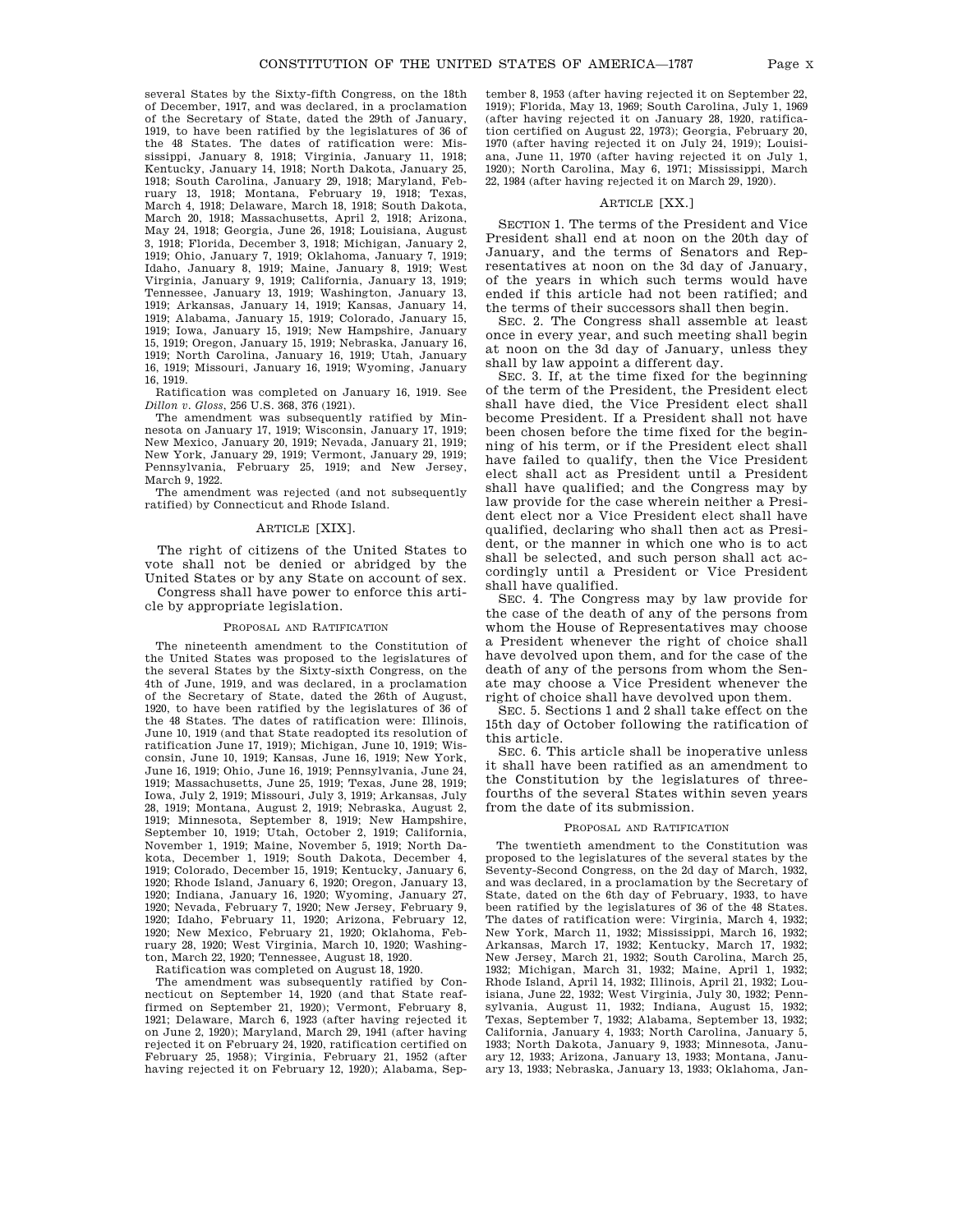several States by the Sixty-fifth Congress, on the 18th of December, 1917, and was declared, in a proclamation of the Secretary of State, dated the 29th of January, 1919, to have been ratified by the legislatures of 36 of the 48 States. The dates of ratification were: Mississippi, January 8, 1918; Virginia, January 11, 1918; Kentucky, January 14, 1918; North Dakota, January 25, 1918; South Carolina, January 29, 1918; Maryland, February 13, 1918; Montana, February 19, 1918; Texas, March 4, 1918; Delaware, March 18, 1918; South Dakota, March 20, 1918; Massachusetts, April 2, 1918; Arizona, May 24, 1918; Georgia, June 26, 1918; Louisiana, August 3, 1918; Florida, December 3, 1918; Michigan, January 2, 1919; Ohio, January 7, 1919; Oklahoma, January 7, 1919; Idaho, January 8, 1919; Maine, January 8, 1919; West Virginia, January 9, 1919; California, January 13, 1919; Tennessee, January 13, 1919; Washington, January 13, 1919; Arkansas, January 14, 1919; Kansas, January 14, 1919; Alabama, January 15, 1919; Colorado, January 15, 1919; Iowa, January 15, 1919; New Hampshire, January 15, 1919; Oregon, January 15, 1919; Nebraska, January 16, 1919; North Carolina, January 16, 1919; Utah, January 16, 1919; Missouri, January 16, 1919; Wyoming, January 16, 1919.

Ratification was completed on January 16, 1919. See *Dillon v. Gloss*, 256 U.S. 368, 376 (1921).

The amendment was subsequently ratified by Minnesota on January 17, 1919; Wisconsin, January 17, 1919; New Mexico, January 20, 1919; Nevada, January 21, 1919; New York, January 29, 1919; Vermont, January 29, 1919; Pennsylvania, February 25, 1919; and New Jersey, March 9, 1922.

The amendment was rejected (and not subsequently ratified) by Connecticut and Rhode Island.

# ARTICLE [XIX].

The right of citizens of the United States to vote shall not be denied or abridged by the United States or by any State on account of sex. Congress shall have power to enforce this article by appropriate legislation.

#### PROPOSAL AND RATIFICATION

The nineteenth amendment to the Constitution of the United States was proposed to the legislatures of the several States by the Sixty-sixth Congress, on the 4th of June, 1919, and was declared, in a proclamation of the Secretary of State, dated the 26th of August, 1920, to have been ratified by the legislatures of 36 of the 48 States. The dates of ratification were: Illinois, June 10, 1919 (and that State readopted its resolution of ratification June 17, 1919); Michigan, June 10, 1919; Wisconsin, June 10, 1919; Kansas, June 16, 1919; New York, June 16, 1919; Ohio, June 16, 1919; Pennsylvania, June 24, 1919; Massachusetts, June 25, 1919; Texas, June 28, 1919; Iowa, July 2, 1919; Missouri, July 3, 1919; Arkansas, July 28, 1919; Montana, August 2, 1919; Nebraska, August 2, 1919; Minnesota, September 8, 1919; New Hampshire, September 10, 1919; Utah, October 2, 1919; California, November 1, 1919; Maine, November 5, 1919; North Dakota, December 1, 1919; South Dakota, December 4, 1919; Colorado, December 15, 1919; Kentucky, January 6, 1920; Rhode Island, January 6, 1920; Oregon, January 13, 1920; Indiana, January 16, 1920; Wyoming, January 27, 1920; Nevada, February 7, 1920; New Jersey, February 9, 1920; Idaho, February 11, 1920; Arizona, February 12, 1920; New Mexico, February 21, 1920; Oklahoma, February 28, 1920; West Virginia, March 10, 1920; Washington, March 22, 1920; Tennessee, August 18, 1920.

Ratification was completed on August 18, 1920.

The amendment was subsequently ratified by Connecticut on September 14, 1920 (and that State reaffirmed on September 21, 1920); Vermont, February 8, 1921; Delaware, March 6, 1923 (after having rejected it on June 2, 1920); Maryland, March 29, 1941 (after having rejected it on February 24, 1920, ratification certified on February 25, 1958); Virginia, February 21, 1952 (after having rejected it on February 12, 1920); Alabama, September 8, 1953 (after having rejected it on September 22, 1919); Florida, May 13, 1969; South Carolina, July 1, 1969 (after having rejected it on January 28, 1920, ratification certified on August 22, 1973); Georgia, February 20, 1970 (after having rejected it on July 24, 1919); Louisiana, June 11, 1970 (after having rejected it on July 1, 1920); North Carolina, May 6, 1971; Mississippi, March 22, 1984 (after having rejected it on March 29, 1920).

### ARTICLE [XX.]

SECTION 1. The terms of the President and Vice President shall end at noon on the 20th day of January, and the terms of Senators and Representatives at noon on the 3d day of January, of the years in which such terms would have ended if this article had not been ratified; and the terms of their successors shall then begin.

SEC. 2. The Congress shall assemble at least once in every year, and such meeting shall begin at noon on the 3d day of January, unless they shall by law appoint a different day.

SEC. 3. If, at the time fixed for the beginning of the term of the President, the President elect shall have died, the Vice President elect shall become President. If a President shall not have been chosen before the time fixed for the beginning of his term, or if the President elect shall have failed to qualify, then the Vice President elect shall act as President until a President shall have qualified; and the Congress may by law provide for the case wherein neither a President elect nor a Vice President elect shall have qualified, declaring who shall then act as President, or the manner in which one who is to act shall be selected, and such person shall act accordingly until a President or Vice President shall have qualified.

SEC. 4. The Congress may by law provide for the case of the death of any of the persons from whom the House of Representatives may choose a President whenever the right of choice shall have devolved upon them, and for the case of the death of any of the persons from whom the Senate may choose a Vice President whenever the right of choice shall have devolved upon them.

SEC. 5. Sections 1 and 2 shall take effect on the 15th day of October following the ratification of this article.

SEC. 6. This article shall be inoperative unless it shall have been ratified as an amendment to the Constitution by the legislatures of threefourths of the several States within seven years from the date of its submission.

#### PROPOSAL AND RATIFICATION

The twentieth amendment to the Constitution was proposed to the legislatures of the several states by the Seventy-Second Congress, on the 2d day of March, 1932, and was declared, in a proclamation by the Secretary of State, dated on the 6th day of February, 1933, to have been ratified by the legislatures of 36 of the 48 States. The dates of ratification were: Virginia, March 4, 1932; New York, March 11, 1932; Mississippi, March 16, 1932; Arkansas, March 17, 1932; Kentucky, March 17, 1932; New Jersey, March 21, 1932; South Carolina, March 25, 1932; Michigan, March 31, 1932; Maine, April 1, 1932; Rhode Island, April 14, 1932; Illinois, April 21, 1932; Louisiana, June 22, 1932; West Virginia, July 30, 1932; Pennsylvania, August 11, 1932; Indiana, August 15, 1932; Texas, September 7, 1932; Alabama, September 13, 1932; California, January 4, 1933; North Carolina, January 5, 1933; North Dakota, January 9, 1933; Minnesota, January 12, 1933; Arizona, January 13, 1933; Montana, January 13, 1933; Nebraska, January 13, 1933; Oklahoma, Jan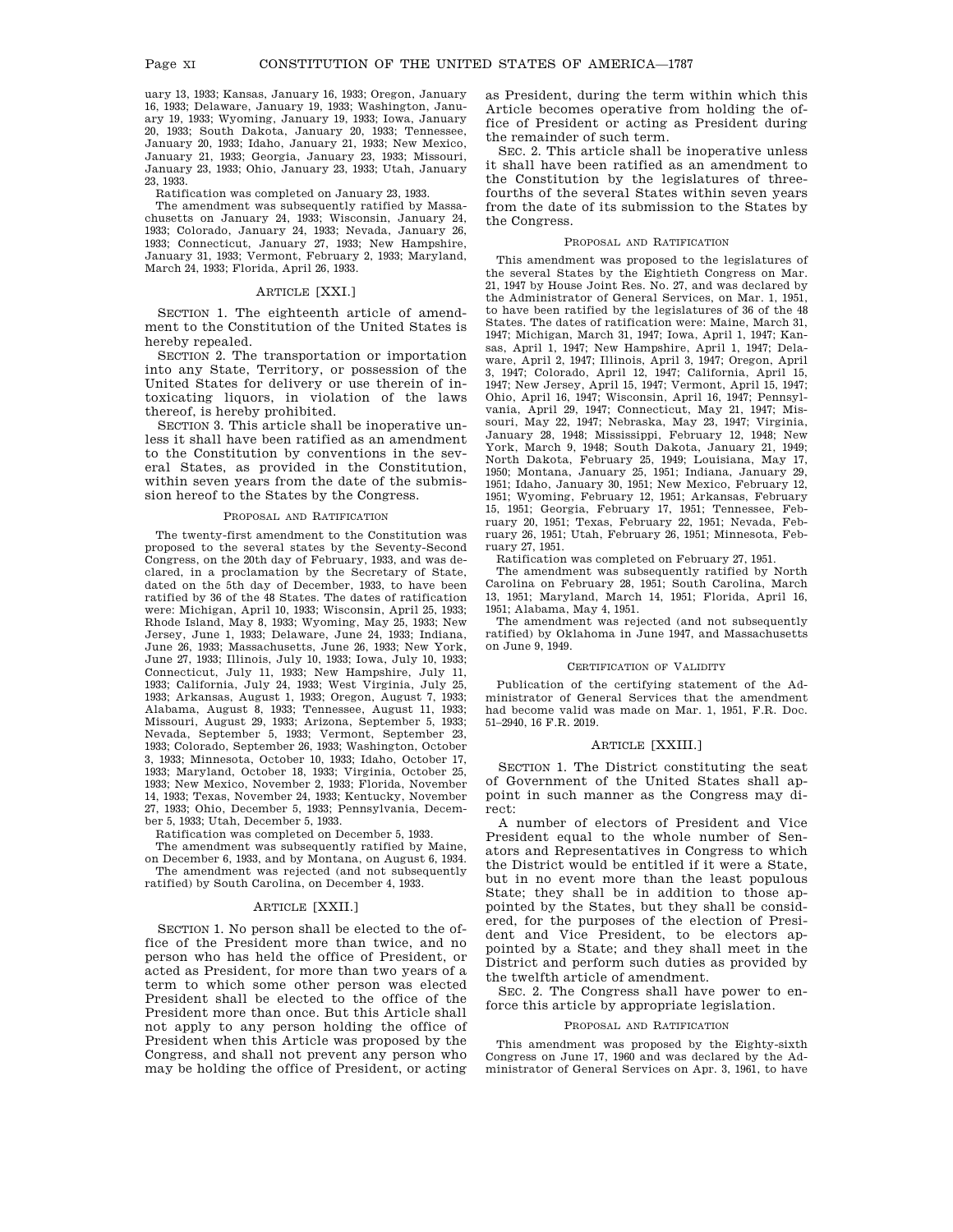uary 13, 1933; Kansas, January 16, 1933; Oregon, January 16, 1933; Delaware, January 19, 1933; Washington, January 19, 1933; Wyoming, January 19, 1933; Iowa, January 20, 1933; South Dakota, January 20, 1933; Tennessee, January 20, 1933; Idaho, January 21, 1933; New Mexico, January 21, 1933; Georgia, January 23, 1933; Missouri, January 23, 1933; Ohio, January 23, 1933; Utah, January 23, 1933.

Ratification was completed on January 23, 1933.

The amendment was subsequently ratified by Massachusetts on January 24, 1933; Wisconsin, January 24, 1933; Colorado, January 24, 1933; Nevada, January 26, 1933; Connecticut, January 27, 1933; New Hampshire, January 31, 1933; Vermont, February 2, 1933; Maryland, March 24, 1933; Florida, April 26, 1933.

# ARTICLE [XXI.]

SECTION 1. The eighteenth article of amendment to the Constitution of the United States is hereby repealed.

SECTION 2. The transportation or importation into any State, Territory, or possession of the United States for delivery or use therein of intoxicating liquors, in violation of the laws thereof, is hereby prohibited.

SECTION 3. This article shall be inoperative unless it shall have been ratified as an amendment to the Constitution by conventions in the several States, as provided in the Constitution, within seven years from the date of the submission hereof to the States by the Congress.

#### PROPOSAL AND RATIFICATION

The twenty-first amendment to the Constitution was proposed to the several states by the Seventy-Second Congress, on the 20th day of February, 1933, and was declared, in a proclamation by the Secretary of State, dated on the 5th day of December, 1933, to have been ratified by 36 of the 48 States. The dates of ratification were: Michigan, April 10, 1933; Wisconsin, April 25, 1933; Rhode Island, May 8, 1933; Wyoming, May 25, 1933; New Jersey, June 1, 1933; Delaware, June 24, 1933; Indiana, June 26, 1933; Massachusetts, June 26, 1933; New York, June 27, 1933; Illinois, July 10, 1933; Iowa, July 10, 1933; Connecticut, July 11, 1933; New Hampshire, July 11, 1933; California, July 24, 1933; West Virginia, July 25, 1933; Arkansas, August 1, 1933; Oregon, August 7, 1933; Alabama, August 8, 1933; Tennessee, August 11, 1933; Missouri, August 29, 1933; Arizona, September 5, 1933; Nevada, September 5, 1933; Vermont, September 23, 1933; Colorado, September 26, 1933; Washington, October 3, 1933; Minnesota, October 10, 1933; Idaho, October 17, 1933; Maryland, October 18, 1933; Virginia, October 25, 1933; New Mexico, November 2, 1933; Florida, November 14, 1933; Texas, November 24, 1933; Kentucky, November 27, 1933; Ohio, December 5, 1933; Pennsylvania, December 5, 1933; Utah, December 5, 1933.

Ratification was completed on December 5, 1933.

The amendment was subsequently ratified by Maine, on December 6, 1933, and by Montana, on August 6, 1934. The amendment was rejected (and not subsequently ratified) by South Carolina, on December 4, 1933.

# ARTICLE [XXII.]

SECTION 1. No person shall be elected to the office of the President more than twice, and no person who has held the office of President, or acted as President, for more than two years of a term to which some other person was elected President shall be elected to the office of the President more than once. But this Article shall not apply to any person holding the office of President when this Article was proposed by the Congress, and shall not prevent any person who may be holding the office of President, or acting as President, during the term within which this Article becomes operative from holding the office of President or acting as President during the remainder of such term.

SEC. 2. This article shall be inoperative unless it shall have been ratified as an amendment to the Constitution by the legislatures of threefourths of the several States within seven years from the date of its submission to the States by the Congress.

### PROPOSAL AND RATIFICATION

This amendment was proposed to the legislatures of the several States by the Eightieth Congress on Mar. 21, 1947 by House Joint Res. No. 27, and was declared by the Administrator of General Services, on Mar. 1, 1951, to have been ratified by the legislatures of 36 of the 48 States. The dates of ratification were: Maine, March 31, 1947; Michigan, March 31, 1947; Iowa, April 1, 1947; Kansas, April 1, 1947; New Hampshire, April 1, 1947; Delaware, April 2, 1947; Illinois, April 3, 1947; Oregon, April 3, 1947; Colorado, April 12, 1947; California, April 15, 1947; New Jersey, April 15, 1947; Vermont, April 15, 1947; Ohio, April 16, 1947; Wisconsin, April 16, 1947; Pennsylvania, April 29, 1947; Connecticut, May 21, 1947; Missouri, May 22, 1947; Nebraska, May 23, 1947; Virginia, January 28, 1948; Mississippi, February 12, 1948; New York, March 9, 1948; South Dakota, January 21, 1949; North Dakota, February 25, 1949; Louisiana, May 17, 1950; Montana, January 25, 1951; Indiana, January 29, 1951; Idaho, January 30, 1951; New Mexico, February 12, 1951; Wyoming, February 12, 1951; Arkansas, February 15, 1951; Georgia, February 17, 1951; Tennessee, February 20, 1951; Texas, February 22, 1951; Nevada, February 26, 1951; Utah, February 26, 1951; Minnesota, February 27, 1951.

Ratification was completed on February 27, 1951.

The amendment was subsequently ratified by North Carolina on February 28, 1951; South Carolina, March 13, 1951; Maryland, March 14, 1951; Florida, April 16, 1951; Alabama, May 4, 1951.

The amendment was rejected (and not subsequently ratified) by Oklahoma in June 1947, and Massachusetts on June 9, 1949.

#### CERTIFICATION OF VALIDITY

Publication of the certifying statement of the Administrator of General Services that the amendment had become valid was made on Mar. 1, 1951, F.R. Doc. 51–2940, 16 F.R. 2019.

### ARTICLE [XXIII.]

SECTION 1. The District constituting the seat of Government of the United States shall appoint in such manner as the Congress may direct:

A number of electors of President and Vice President equal to the whole number of Senators and Representatives in Congress to which the District would be entitled if it were a State, but in no event more than the least populous State; they shall be in addition to those appointed by the States, but they shall be considered, for the purposes of the election of President and Vice President, to be electors appointed by a State; and they shall meet in the District and perform such duties as provided by the twelfth article of amendment.

SEC. 2. The Congress shall have power to enforce this article by appropriate legislation.

### PROPOSAL AND RATIFICATION

This amendment was proposed by the Eighty-sixth Congress on June 17, 1960 and was declared by the Administrator of General Services on Apr. 3, 1961, to have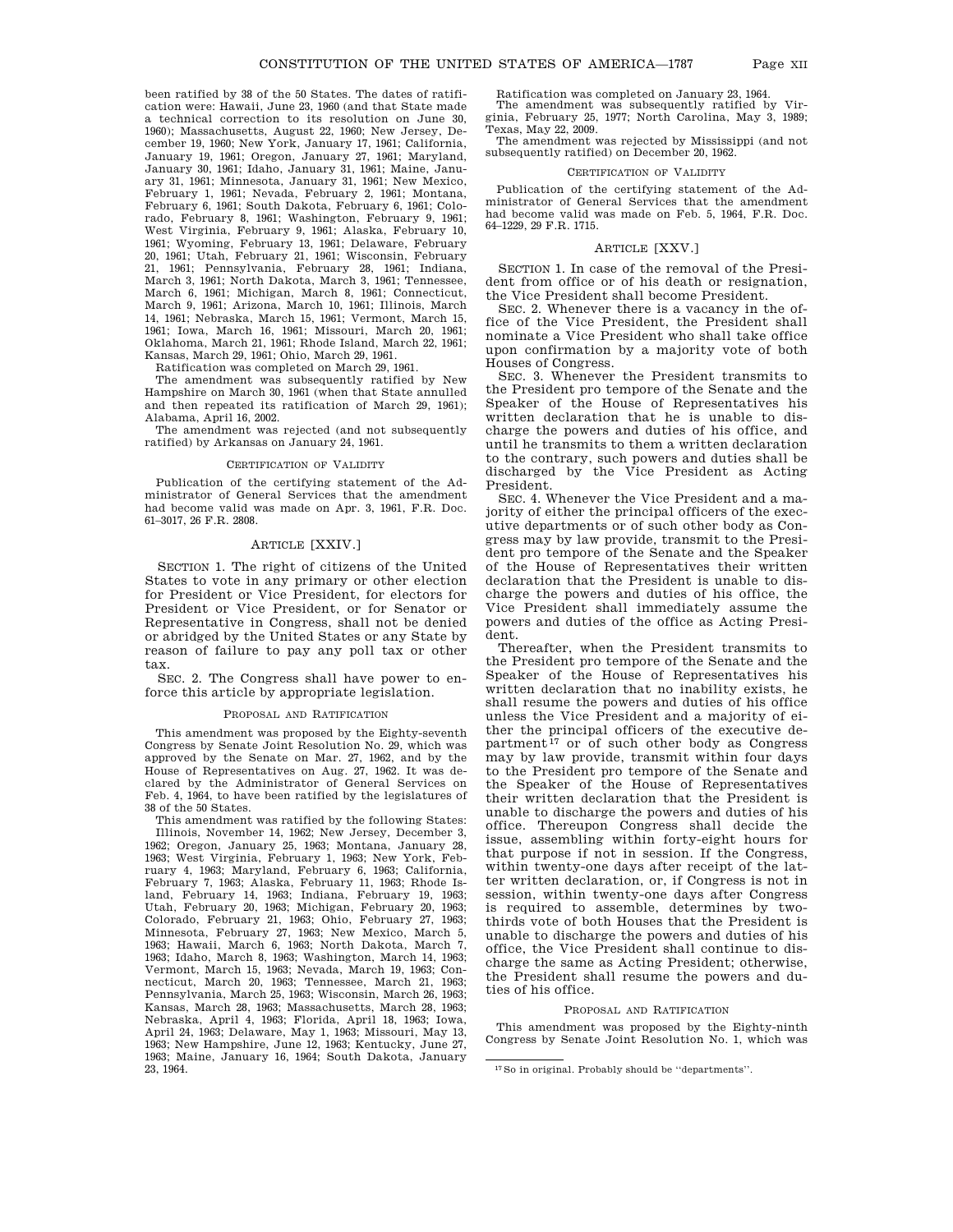been ratified by 38 of the 50 States. The dates of ratification were: Hawaii, June 23, 1960 (and that State made a technical correction to its resolution on June 30, 1960); Massachusetts, August 22, 1960; New Jersey, December 19, 1960; New York, January 17, 1961; California, January 19, 1961; Oregon, January 27, 1961; Maryland, January 30, 1961; Idaho, January 31, 1961; Maine, January 31, 1961; Minnesota, January 31, 1961; New Mexico, February 1, 1961; Nevada, February 2, 1961; Montana, February 6, 1961; South Dakota, February 6, 1961; Colorado, February 8, 1961; Washington, February 9, 1961; West Virginia, February 9, 1961; Alaska, February 10, 1961; Wyoming, February 13, 1961; Delaware, February 20, 1961; Utah, February 21, 1961; Wisconsin, February 21, 1961; Pennsylvania, February 28, 1961; Indiana, March 3, 1961; North Dakota, March 3, 1961; Tennessee, March 6, 1961; Michigan, March 8, 1961; Connecticut, March 9, 1961; Arizona, March 10, 1961; Illinois, March 14, 1961; Nebraska, March 15, 1961; Vermont, March 15, 1961; Iowa, March 16, 1961; Missouri, March 20, 1961; Oklahoma, March 21, 1961; Rhode Island, March 22, 1961; Kansas, March 29, 1961; Ohio, March 29, 1961.

Ratification was completed on March 29, 1961.

The amendment was subsequently ratified by New Hampshire on March 30, 1961 (when that State annulled and then repeated its ratification of March 29, 1961); Alabama, April 16, 2002.

The amendment was rejected (and not subsequently ratified) by Arkansas on January 24, 1961.

#### CERTIFICATION OF VALIDITY

Publication of the certifying statement of the Administrator of General Services that the amendment had become valid was made on Apr. 3, 1961, F.R. Doc. 61–3017, 26 F.R. 2808.

# ARTICLE [XXIV.]

SECTION 1. The right of citizens of the United States to vote in any primary or other election for President or Vice President, for electors for President or Vice President, or for Senator or Representative in Congress, shall not be denied or abridged by the United States or any State by reason of failure to pay any poll tax or other tax.

SEC. 2. The Congress shall have power to enforce this article by appropriate legislation.

#### PROPOSAL AND RATIFICATION

This amendment was proposed by the Eighty-seventh Congress by Senate Joint Resolution No. 29, which was approved by the Senate on Mar. 27, 1962, and by the House of Representatives on Aug. 27, 1962. It was declared by the Administrator of General Services on Feb. 4, 1964, to have been ratified by the legislatures of 38 of the 50 States.

This amendment was ratified by the following States: Illinois, November 14, 1962; New Jersey, December 3, 1962; Oregon, January 25, 1963; Montana, January 28, 1963; West Virginia, February 1, 1963; New York, February 4, 1963; Maryland, February 6, 1963; California, February 7, 1963; Alaska, February 11, 1963; Rhode Island, February 14, 1963; Indiana, February 19, 1963; Utah, February 20, 1963; Michigan, February 20, 1963; Colorado, February 21, 1963; Ohio, February 27, 1963; Minnesota, February 27, 1963; New Mexico, March 5, 1963; Hawaii, March 6, 1963; North Dakota, March 7, 1963; Idaho, March 8, 1963; Washington, March 14, 1963; Vermont, March 15, 1963; Nevada, March 19, 1963; Connecticut, March 20, 1963; Tennessee, March 21, 1963; Pennsylvania, March 25, 1963; Wisconsin, March 26, 1963; Kansas, March 28, 1963; Massachusetts, March 28, 1963; Nebraska, April 4, 1963; Florida, April 18, 1963; Iowa, April 24, 1963; Delaware, May 1, 1963; Missouri, May 13, 1963; New Hampshire, June 12, 1963; Kentucky, June 27, 1963; Maine, January 16, 1964; South Dakota, January 23, 1964.

Ratification was completed on January 23, 1964.

The amendment was subsequently ratified by Virginia, February 25, 1977; North Carolina, May 3, 1989; Texas, May 22, 2009.

The amendment was rejected by Mississippi (and not subsequently ratified) on December 20, 1962.

### CERTIFICATION OF VALIDI

Publication of the certifying statement of the Administrator of General Services that the amendment had become valid was made on Feb. 5, 1964, F.R. Doc. 64–1229, 29 F.R. 1715.

### ARTICLE [XXV.]

SECTION 1. In case of the removal of the President from office or of his death or resignation, the Vice President shall become President.

SEC. 2. Whenever there is a vacancy in the office of the Vice President, the President shall nominate a Vice President who shall take office upon confirmation by a majority vote of both Houses of Congress.

SEC. 3. Whenever the President transmits to the President pro tempore of the Senate and the Speaker of the House of Representatives his written declaration that he is unable to discharge the powers and duties of his office, and until he transmits to them a written declaration to the contrary, such powers and duties shall be discharged by the Vice President as Acting President.

SEC. 4. Whenever the Vice President and a majority of either the principal officers of the executive departments or of such other body as Congress may by law provide, transmit to the President pro tempore of the Senate and the Speaker of the House of Representatives their written declaration that the President is unable to discharge the powers and duties of his office, the Vice President shall immediately assume the powers and duties of the office as Acting President.

Thereafter, when the President transmits to the President pro tempore of the Senate and the Speaker of the House of Representatives his written declaration that no inability exists, he shall resume the powers and duties of his office unless the Vice President and a majority of either the principal officers of the executive department<sup>17</sup> or of such other body as Congress may by law provide, transmit within four days to the President pro tempore of the Senate and the Speaker of the House of Representatives their written declaration that the President is unable to discharge the powers and duties of his office. Thereupon Congress shall decide the issue, assembling within forty-eight hours for that purpose if not in session. If the Congress, within twenty-one days after receipt of the latter written declaration, or, if Congress is not in session, within twenty-one days after Congress is required to assemble, determines by twothirds vote of both Houses that the President is unable to discharge the powers and duties of his office, the Vice President shall continue to discharge the same as Acting President; otherwise, the President shall resume the powers and duties of his office.

### PROPOSAL AND RATIFICATION

This amendment was proposed by the Eighty-ninth Congress by Senate Joint Resolution No. 1, which was

<sup>17</sup>So in original. Probably should be ''departments''.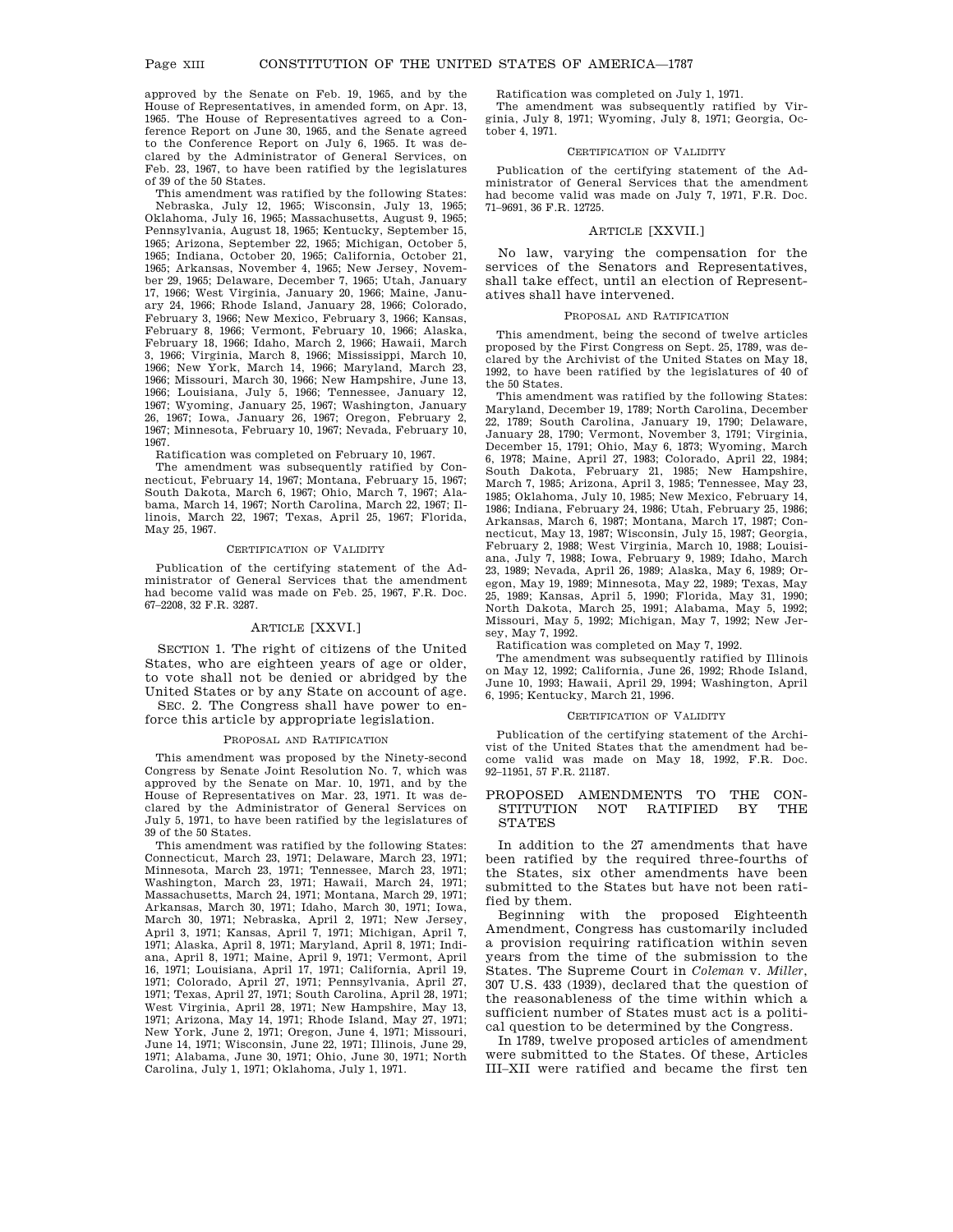approved by the Senate on Feb. 19, 1965, and by the House of Representatives, in amended form, on Apr. 13, 1965. The House of Representatives agreed to a Conference Report on June 30, 1965, and the Senate agreed to the Conference Report on July 6, 1965. It was declared by the Administrator of General Services, on Feb. 23, 1967, to have been ratified by the legislatures of 39 of the 50 States.

This amendment was ratified by the following States: Nebraska, July 12, 1965; Wisconsin, July 13, 1965; Oklahoma, July 16, 1965; Massachusetts, August 9, 1965; Pennsylvania, August 18, 1965; Kentucky, September 15, 1965; Arizona, September 22, 1965; Michigan, October 5, 1965; Indiana, October 20, 1965; California, October 21, 1965; Arkansas, November 4, 1965; New Jersey, November 29, 1965; Delaware, December 7, 1965; Utah, January 17, 1966; West Virginia, January 20, 1966; Maine, January 24, 1966; Rhode Island, January 28, 1966; Colorado, February 3, 1966; New Mexico, February 3, 1966; Kansas, February 8, 1966; Vermont, February 10, 1966; Alaska, February 18, 1966; Idaho, March 2, 1966; Hawaii, March 3, 1966; Virginia, March 8, 1966; Mississippi, March 10, 1966; New York, March 14, 1966; Maryland, March 23, 1966; Missouri, March 30, 1966; New Hampshire, June 13, 1966; Louisiana, July 5, 1966; Tennessee, January 12, 1967; Wyoming, January 25, 1967; Washington, January 26, 1967; Iowa, January 26, 1967; Oregon, February 2, 1967; Minnesota, February 10, 1967; Nevada, February 10, 1967.

Ratification was completed on February 10, 1967.

The amendment was subsequently ratified by Connecticut, February 14, 1967; Montana, February 15, 1967; South Dakota, March 6, 1967; Ohio, March 7, 1967; Alabama, March 14, 1967; North Carolina, March 22, 1967; Illinois, March 22, 1967; Texas, April 25, 1967; Florida, May 25, 1967.

### CERTIFICATION OF VALIDITY

Publication of the certifying statement of the Administrator of General Services that the amendment had become valid was made on Feb. 25, 1967, F.R. Doc. 67–2208, 32 F.R. 3287.

# ARTICLE [XXVI.]

SECTION 1. The right of citizens of the United States, who are eighteen years of age or older, to vote shall not be denied or abridged by the United States or by any State on account of age.

SEC. 2. The Congress shall have power to enforce this article by appropriate legislation.

#### PROPOSAL AND RATIFICATION

This amendment was proposed by the Ninety-second Congress by Senate Joint Resolution No. 7, which was approved by the Senate on Mar. 10, 1971, and by the House of Representatives on Mar. 23, 1971. It was declared by the Administrator of General Services on July 5, 1971, to have been ratified by the legislatures of 39 of the 50 States.

This amendment was ratified by the following States: Connecticut, March 23, 1971; Delaware, March 23, 1971; Minnesota, March 23, 1971; Tennessee, March 23, 1971; Washington, March 23, 1971; Hawaii, March 24, 1971; Massachusetts, March 24, 1971; Montana, March 29, 1971; Arkansas, March 30, 1971; Idaho, March 30, 1971; Iowa, March 30, 1971; Nebraska, April 2, 1971; New Jersey, April 3, 1971; Kansas, April 7, 1971; Michigan, April 7, 1971; Alaska, April 8, 1971; Maryland, April 8, 1971; Indiana, April 8, 1971; Maine, April 9, 1971; Vermont, April 16, 1971; Louisiana, April 17, 1971; California, April 19, 1971; Colorado, April 27, 1971; Pennsylvania, April 27, 1971; Texas, April 27, 1971; South Carolina, April 28, 1971; West Virginia, April 28, 1971; New Hampshire, May 13, 1971; Arizona, May 14, 1971; Rhode Island, May 27, 1971; New York, June 2, 1971; Oregon, June 4, 1971; Missouri, June 14, 1971; Wisconsin, June 22, 1971; Illinois, June 29, 1971; Alabama, June 30, 1971; Ohio, June 30, 1971; North Carolina, July 1, 1971; Oklahoma, July 1, 1971.

Ratification was completed on July 1, 1971.

The amendment was subsequently ratified by Virginia, July 8, 1971; Wyoming, July 8, 1971; Georgia, October 4, 1971.

## CERTIFICATION OF VALIDITY

Publication of the certifying statement of the Administrator of General Services that the amendment had become valid was made on July 7, 1971, F.R. Doc. 71–9691, 36 F.R. 12725.

## ARTICLE [XXVII.]

No law, varying the compensation for the services of the Senators and Representatives, shall take effect, until an election of Representatives shall have intervened.

### PROPOSAL AND RATIFICATION

This amendment, being the second of twelve articles proposed by the First Congress on Sept. 25, 1789, was declared by the Archivist of the United States on May 18, 1992, to have been ratified by the legislatures of 40 of the 50 States.

This amendment was ratified by the following States: Maryland, December 19, 1789; North Carolina, December 22, 1789; South Carolina, January 19, 1790; Delaware, January 28, 1790; Vermont, November 3, 1791; Virginia, December 15, 1791; Ohio, May 6, 1873; Wyoming, March 6, 1978; Maine, April 27, 1983; Colorado, April 22, 1984; South Dakota, February 21, 1985; New Hampshire, March 7, 1985; Arizona, April 3, 1985; Tennessee, May 23, 1985; Oklahoma, July 10, 1985; New Mexico, February 14, 1986; Indiana, February 24, 1986; Utah, February 25, 1986; Arkansas, March 6, 1987; Montana, March 17, 1987; Connecticut, May 13, 1987; Wisconsin, July 15, 1987; Georgia, February 2, 1988; West Virginia, March 10, 1988; Louisiana, July 7, 1988; Iowa, February 9, 1989; Idaho, March 23, 1989; Nevada, April 26, 1989; Alaska, May 6, 1989; Oregon, May 19, 1989; Minnesota, May 22, 1989; Texas, May 25, 1989; Kansas, April 5, 1990; Florida, May 31, 1990; North Dakota, March 25, 1991; Alabama, May 5, 1992; Missouri, May 5, 1992; Michigan, May 7, 1992; New Jersey, May 7, 1992.

Ratification was completed on May 7, 1992.

The amendment was subsequently ratified by Illinois on May 12, 1992; California, June 26, 1992; Rhode Island, June 10, 1993; Hawaii, April 29, 1994; Washington, April 6, 1995; Kentucky, March 21, 1996.

# CERTIFICATION OF VALIDITY

Publication of the certifying statement of the Archivist of the United States that the amendment had become valid was made on May 18, 1992, F.R. Doc. 92–11951, 57 F.R. 21187.

# PROPOSED AMENDMENTS TO THE CON-STITUTION NOT RATIFIED BY THE **STATES**

In addition to the 27 amendments that have been ratified by the required three-fourths of the States, six other amendments have been submitted to the States but have not been ratified by them.

Beginning with the proposed Eighteenth Amendment, Congress has customarily included a provision requiring ratification within seven years from the time of the submission to the States. The Supreme Court in *Coleman* v. *Miller*, 307 U.S. 433 (1939), declared that the question of the reasonableness of the time within which a sufficient number of States must act is a political question to be determined by the Congress.

In 1789, twelve proposed articles of amendment were submitted to the States. Of these, Articles III–XII were ratified and became the first ten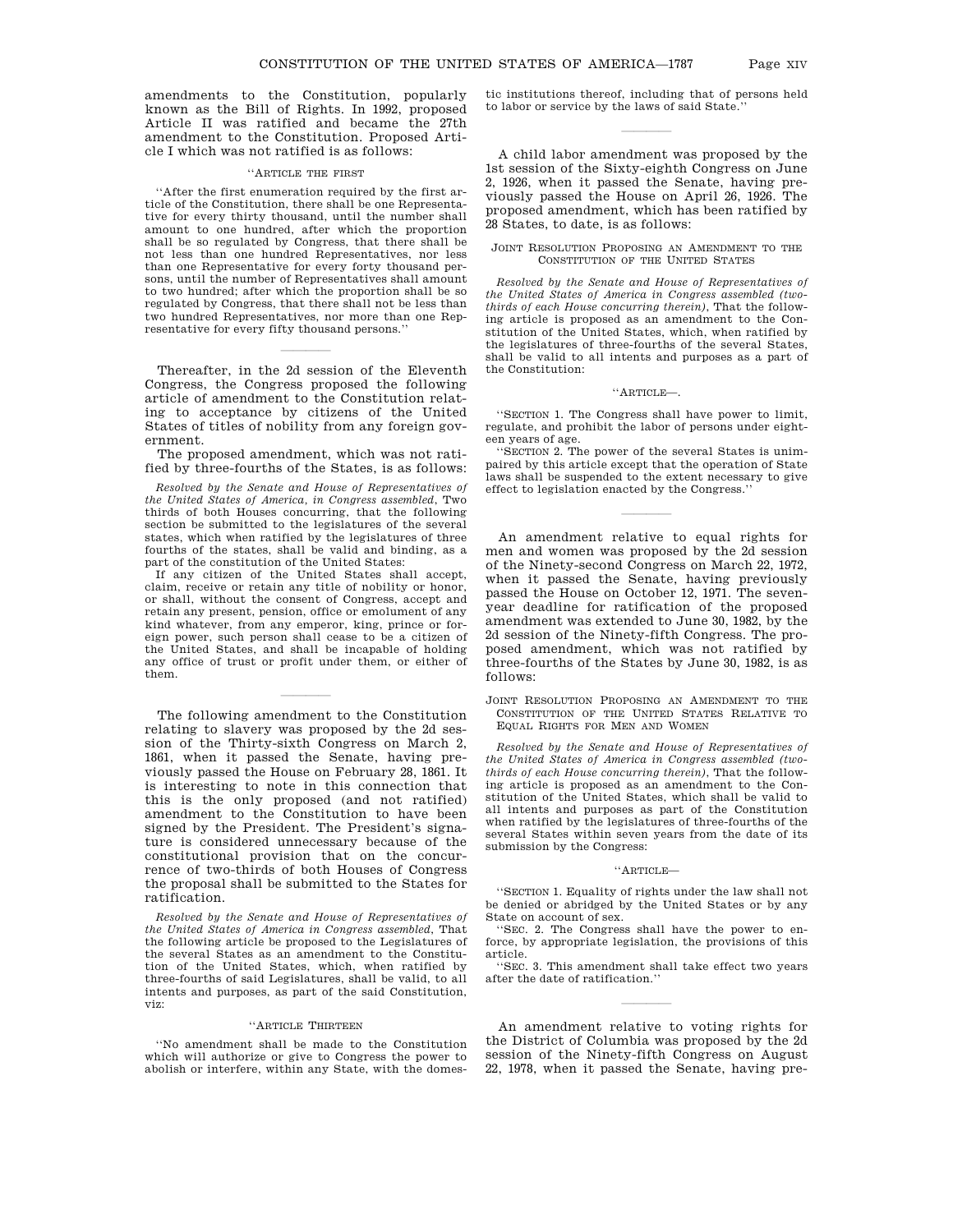amendments to the Constitution, popularly known as the Bill of Rights. In 1992, proposed Article II was ratified and became the 27th amendment to the Constitution. Proposed Article I which was not ratified is as follows:

### 'ARTICLE THE FIRST

''After the first enumeration required by the first article of the Constitution, there shall be one Representative for every thirty thousand, until the number shall amount to one hundred, after which the proportion shall be so regulated by Congress, that there shall be not less than one hundred Representatives, nor less than one Representative for every forty thousand persons, until the number of Representatives shall amount to two hundred; after which the proportion shall be so regulated by Congress, that there shall not be less than two hundred Representatives, nor more than one Representative for every fifty thousand persons.''

Thereafter, in the 2d session of the Eleventh Congress, the Congress proposed the following article of amendment to the Constitution relating to acceptance by citizens of the United States of titles of nobility from any foreign government.

lla se a constante de la constante de la constante de la constante de la constante de la constante de la const<br>La constante de la constante de la constantida de la constantida de la constantida de la constantida de la con

The proposed amendment, which was not ratified by three-fourths of the States, is as follows:

*Resolved by the Senate and House of Representatives of the United States of America, in Congress assembled*, Two thirds of both Houses concurring, that the following section be submitted to the legislatures of the several states, which when ratified by the legislatures of three fourths of the states, shall be valid and binding, as a part of the constitution of the United States:

If any citizen of the United States shall accept, claim, receive or retain any title of nobility or honor, or shall, without the consent of Congress, accept and retain any present, pension, office or emolument of any kind whatever, from any emperor, king, prince or foreign power, such person shall cease to be a citizen of the United States, and shall be incapable of holding any office of trust or profit under them, or either of them.

lla se a constante de la constante de la constante de la constante de la constante de la constante de la const<br>La constante de la constante de la constantida de la constantida de la constantida de la constantida de la con

The following amendment to the Constitution relating to slavery was proposed by the 2d session of the Thirty-sixth Congress on March 2, 1861, when it passed the Senate, having previously passed the House on February 28, 1861. It is interesting to note in this connection that this is the only proposed (and not ratified) amendment to the Constitution to have been signed by the President. The President's signature is considered unnecessary because of the constitutional provision that on the concurrence of two-thirds of both Houses of Congress the proposal shall be submitted to the States for ratification.

*Resolved by the Senate and House of Representatives of the United States of America in Congress assembled*, That the following article be proposed to the Legislatures of the several States as an amendment to the Constitution of the United States, which, when ratified by three-fourths of said Legislatures, shall be valid, to all intents and purposes, as part of the said Constitution, viz:

#### ''ARTICLE THIRTEEN

''No amendment shall be made to the Constitution which will authorize or give to Congress the power to abolish or interfere, within any State, with the domestic institutions thereof, including that of persons held to labor or service by the laws of said State.''

lla se a constante de la constante de la constante de la constante de la constante de la constante de la const<br>La constante de la constante de la constantida de la constantida de la constantida de la constantida de la con

A child labor amendment was proposed by the 1st session of the Sixty-eighth Congress on June 2, 1926, when it passed the Senate, having previously passed the House on April 26, 1926. The proposed amendment, which has been ratified by 28 States, to date, is as follows:

### JOINT RESOLUTION PROPOSING AN AMENDMENT TO THE CONSTITUTION OF THE UNITED STATES

*Resolved by the Senate and House of Representatives of the United States of America in Congress assembled (twothirds of each House concurring therein)*, That the following article is proposed as an amendment to the Constitution of the United States, which, when ratified by the legislatures of three-fourths of the several States, shall be valid to all intents and purposes as a part of the Constitution:

#### ''ARTICLE—.

''SECTION 1. The Congress shall have power to limit, regulate, and prohibit the labor of persons under eighteen years of age.

''SECTION 2. The power of the several States is unimpaired by this article except that the operation of State laws shall be suspended to the extent necessary to give effect to legislation enacted by the Congress.''

lla se a constante de la constante de la constante de la constante de la constante de la constante de la const<br>La constante de la constante de la constantida de la constantida de la constantida de la constantida de la con

An amendment relative to equal rights for men and women was proposed by the 2d session of the Ninety-second Congress on March 22, 1972, when it passed the Senate, having previously passed the House on October 12, 1971. The sevenyear deadline for ratification of the proposed amendment was extended to June 30, 1982, by the 2d session of the Ninety-fifth Congress. The proposed amendment, which was not ratified by three-fourths of the States by June 30, 1982, is as follows:

JOINT RESOLUTION PROPOSING AN AMENDMENT TO THE CONSTITUTION OF THE UNITED STATES RELATIVE TO EQUAL RIGHTS FOR MEN AND WOMEN

*Resolved by the Senate and House of Representatives of the United States of America in Congress assembled (twothirds of each House concurring therein)*, That the following article is proposed as an amendment to the Constitution of the United States, which shall be valid to all intents and purposes as part of the Constitution when ratified by the legislatures of three-fourths of the several States within seven years from the date of its submission by the Congress:

## ''ARTICLE—

''SECTION 1. Equality of rights under the law shall not be denied or abridged by the United States or by any State on account of sex.

''SEC. 2. The Congress shall have the power to enforce, by appropriate legislation, the provisions of this article.

''SEC. 3. This amendment shall take effect two years after the date of ratification.''

lla se a constante de la constante de la constante de la constante de la constante de la constante de la const<br>La constante de la constante de la constantida de la constantida de la constantida de la constantida de la con

An amendment relative to voting rights for the District of Columbia was proposed by the 2d session of the Ninety-fifth Congress on August 22, 1978, when it passed the Senate, having pre-